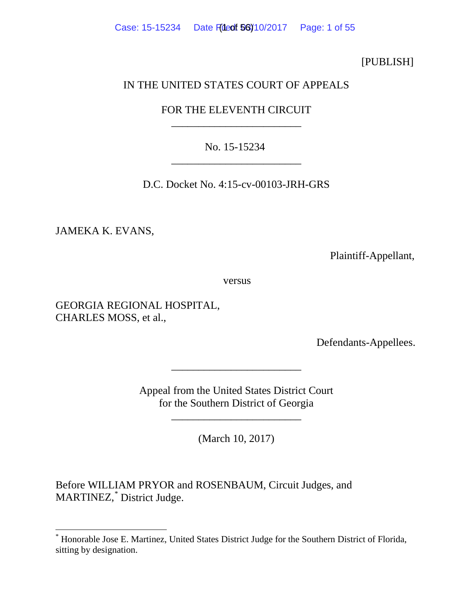Case: 15-15234 Date Filed: 56)10/2017 Page: 1 of 55

[PUBLISH]

## IN THE UNITED STATES COURT OF APPEALS

# FOR THE ELEVENTH CIRCUIT \_\_\_\_\_\_\_\_\_\_\_\_\_\_\_\_\_\_\_\_\_\_\_\_

No. 15-15234 \_\_\_\_\_\_\_\_\_\_\_\_\_\_\_\_\_\_\_\_\_\_\_\_

D.C. Docket No. 4:15-cv-00103-JRH-GRS

JAMEKA K. EVANS,

Plaintiff-Appellant,

versus

GEORGIA REGIONAL HOSPITAL, CHARLES MOSS, et al.,

Defendants-Appellees.

Appeal from the United States District Court for the Southern District of Georgia

\_\_\_\_\_\_\_\_\_\_\_\_\_\_\_\_\_\_\_\_\_\_\_\_

\_\_\_\_\_\_\_\_\_\_\_\_\_\_\_\_\_\_\_\_\_\_\_\_

(March 10, 2017)

Before WILLIAM PRYOR and ROSENBAUM, Circuit Judges, and MARTINEZ,[\\*](#page-0-0) District Judge.

<span id="page-0-0"></span> <sup>\*</sup> Honorable Jose E. Martinez, United States District Judge for the Southern District of Florida, sitting by designation.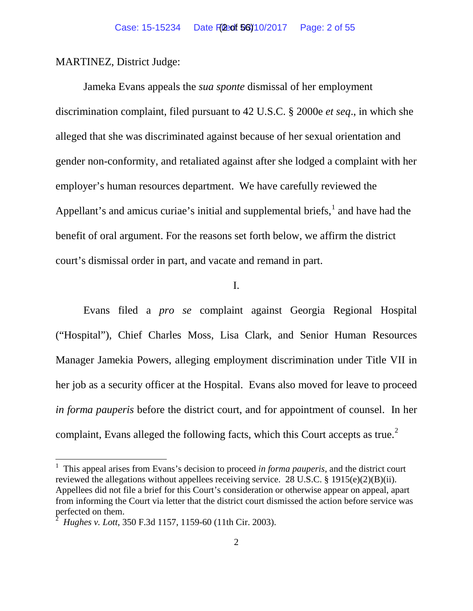MARTINEZ, District Judge:

Jameka Evans appeals the *sua sponte* dismissal of her employment discrimination complaint, filed pursuant to 42 U.S.C. § 2000e *et seq*., in which she alleged that she was discriminated against because of her sexual orientation and gender non-conformity, and retaliated against after she lodged a complaint with her employer's human resources department. We have carefully reviewed the Appellant's and amicus curiae's initial and supplemental briefs, $<sup>1</sup>$  $<sup>1</sup>$  $<sup>1</sup>$  and have had the</sup> benefit of oral argument. For the reasons set forth below, we affirm the district court's dismissal order in part, and vacate and remand in part.

I.

Evans filed a *pro se* complaint against Georgia Regional Hospital ("Hospital"), Chief Charles Moss, Lisa Clark, and Senior Human Resources Manager Jamekia Powers, alleging employment discrimination under Title VII in her job as a security officer at the Hospital. Evans also moved for leave to proceed *in forma pauperis* before the district court, and for appointment of counsel. In her complaint, Evans alleged the following facts, which this Court accepts as true.<sup>[2](#page-1-1)</sup>

<span id="page-1-0"></span> <sup>1</sup> This appeal arises from Evans's decision to proceed *in forma pauperis*, and the district court reviewed the allegations without appellees receiving service. 28 U.S.C. § 1915(e)(2)(B)(ii). Appellees did not file a brief for this Court's consideration or otherwise appear on appeal, apart from informing the Court via letter that the district court dismissed the action before service was perfected on them.

<span id="page-1-1"></span><sup>2</sup> *Hughes v. Lott*, 350 F.3d 1157, 1159-60 (11th Cir. 2003).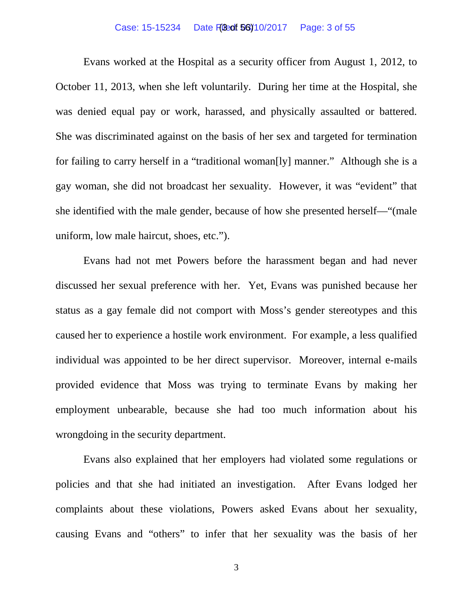#### Case: 15-15234 Date F(Bedt 56) 10/2017 Page: 3 of 55

Evans worked at the Hospital as a security officer from August 1, 2012, to October 11, 2013, when she left voluntarily. During her time at the Hospital, she was denied equal pay or work, harassed, and physically assaulted or battered. She was discriminated against on the basis of her sex and targeted for termination for failing to carry herself in a "traditional woman[ly] manner." Although she is a gay woman, she did not broadcast her sexuality. However, it was "evident" that she identified with the male gender, because of how she presented herself—"(male uniform, low male haircut, shoes, etc.").

Evans had not met Powers before the harassment began and had never discussed her sexual preference with her. Yet, Evans was punished because her status as a gay female did not comport with Moss's gender stereotypes and this caused her to experience a hostile work environment. For example, a less qualified individual was appointed to be her direct supervisor. Moreover, internal e-mails provided evidence that Moss was trying to terminate Evans by making her employment unbearable, because she had too much information about his wrongdoing in the security department.

Evans also explained that her employers had violated some regulations or policies and that she had initiated an investigation. After Evans lodged her complaints about these violations, Powers asked Evans about her sexuality, causing Evans and "others" to infer that her sexuality was the basis of her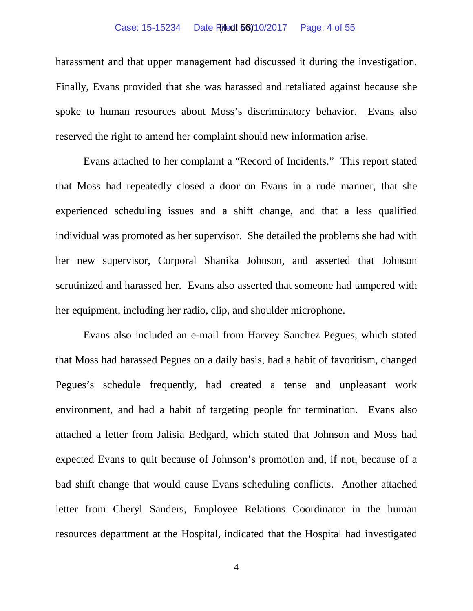#### Case: 15-15234 Date Filed: 56)10/2017 Page: 4 of 55

harassment and that upper management had discussed it during the investigation. Finally, Evans provided that she was harassed and retaliated against because she spoke to human resources about Moss's discriminatory behavior. Evans also reserved the right to amend her complaint should new information arise.

Evans attached to her complaint a "Record of Incidents." This report stated that Moss had repeatedly closed a door on Evans in a rude manner, that she experienced scheduling issues and a shift change, and that a less qualified individual was promoted as her supervisor. She detailed the problems she had with her new supervisor, Corporal Shanika Johnson, and asserted that Johnson scrutinized and harassed her. Evans also asserted that someone had tampered with her equipment, including her radio, clip, and shoulder microphone.

Evans also included an e-mail from Harvey Sanchez Pegues, which stated that Moss had harassed Pegues on a daily basis, had a habit of favoritism, changed Pegues's schedule frequently, had created a tense and unpleasant work environment, and had a habit of targeting people for termination. Evans also attached a letter from Jalisia Bedgard, which stated that Johnson and Moss had expected Evans to quit because of Johnson's promotion and, if not, because of a bad shift change that would cause Evans scheduling conflicts. Another attached letter from Cheryl Sanders, Employee Relations Coordinator in the human resources department at the Hospital, indicated that the Hospital had investigated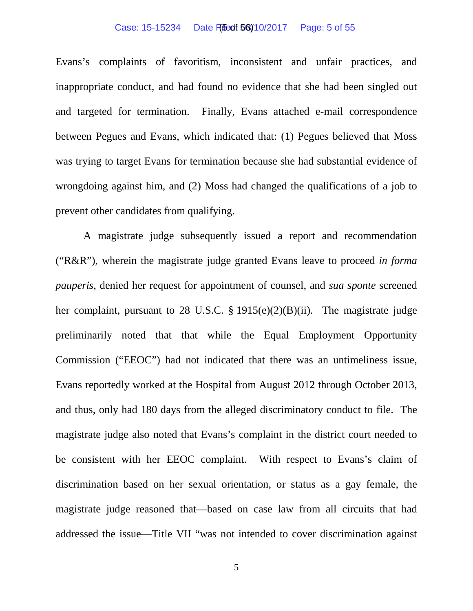#### Case: 15-15234 Date Filed: 06/10/2017 Page: 5 of 55

Evans's complaints of favoritism, inconsistent and unfair practices, and inappropriate conduct, and had found no evidence that she had been singled out and targeted for termination. Finally, Evans attached e-mail correspondence between Pegues and Evans, which indicated that: (1) Pegues believed that Moss was trying to target Evans for termination because she had substantial evidence of wrongdoing against him, and (2) Moss had changed the qualifications of a job to prevent other candidates from qualifying.

A magistrate judge subsequently issued a report and recommendation ("R&R"), wherein the magistrate judge granted Evans leave to proceed *in forma pauperis*, denied her request for appointment of counsel, and *sua sponte* screened her complaint, pursuant to 28 U.S.C. § 1915(e)(2)(B)(ii). The magistrate judge preliminarily noted that that while the Equal Employment Opportunity Commission ("EEOC") had not indicated that there was an untimeliness issue, Evans reportedly worked at the Hospital from August 2012 through October 2013, and thus, only had 180 days from the alleged discriminatory conduct to file. The magistrate judge also noted that Evans's complaint in the district court needed to be consistent with her EEOC complaint. With respect to Evans's claim of discrimination based on her sexual orientation, or status as a gay female, the magistrate judge reasoned that—based on case law from all circuits that had addressed the issue—Title VII "was not intended to cover discrimination against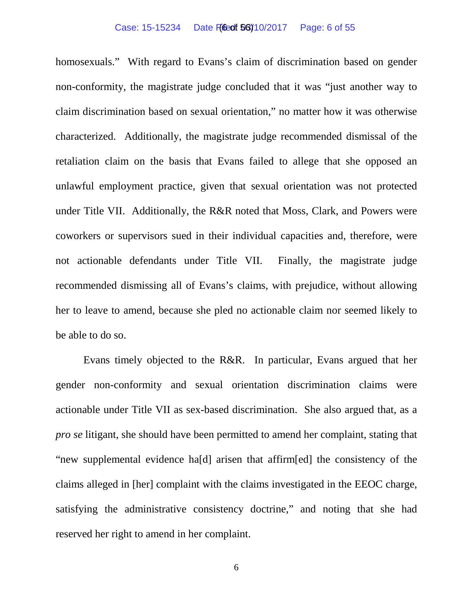#### Case: 15-15234 Date Filed: 56)10/2017 Page: 6 of 55

homosexuals." With regard to Evans's claim of discrimination based on gender non-conformity, the magistrate judge concluded that it was "just another way to claim discrimination based on sexual orientation," no matter how it was otherwise characterized. Additionally, the magistrate judge recommended dismissal of the retaliation claim on the basis that Evans failed to allege that she opposed an unlawful employment practice, given that sexual orientation was not protected under Title VII. Additionally, the R&R noted that Moss, Clark, and Powers were coworkers or supervisors sued in their individual capacities and, therefore, were not actionable defendants under Title VII. Finally, the magistrate judge recommended dismissing all of Evans's claims, with prejudice, without allowing her to leave to amend, because she pled no actionable claim nor seemed likely to be able to do so.

Evans timely objected to the R&R. In particular, Evans argued that her gender non-conformity and sexual orientation discrimination claims were actionable under Title VII as sex-based discrimination. She also argued that, as a *pro se* litigant, she should have been permitted to amend her complaint, stating that "new supplemental evidence ha[d] arisen that affirm[ed] the consistency of the claims alleged in [her] complaint with the claims investigated in the EEOC charge, satisfying the administrative consistency doctrine," and noting that she had reserved her right to amend in her complaint.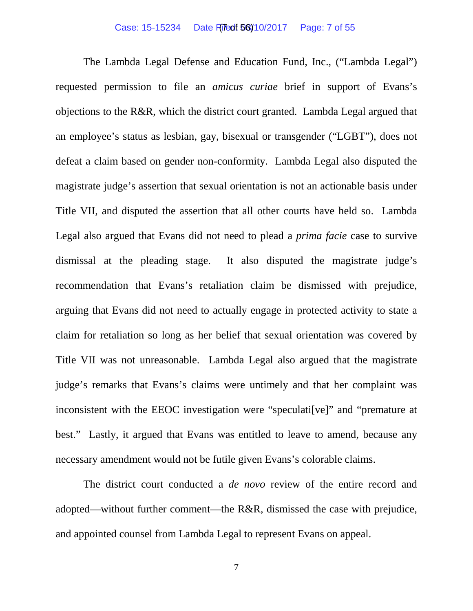#### Case: 15-15234 Date Filed: 56)10/2017 Page: 7 of 55

The Lambda Legal Defense and Education Fund, Inc., ("Lambda Legal") requested permission to file an *amicus curiae* brief in support of Evans's objections to the R&R, which the district court granted. Lambda Legal argued that an employee's status as lesbian, gay, bisexual or transgender ("LGBT"), does not defeat a claim based on gender non-conformity. Lambda Legal also disputed the magistrate judge's assertion that sexual orientation is not an actionable basis under Title VII, and disputed the assertion that all other courts have held so. Lambda Legal also argued that Evans did not need to plead a *prima facie* case to survive dismissal at the pleading stage. It also disputed the magistrate judge's recommendation that Evans's retaliation claim be dismissed with prejudice, arguing that Evans did not need to actually engage in protected activity to state a claim for retaliation so long as her belief that sexual orientation was covered by Title VII was not unreasonable. Lambda Legal also argued that the magistrate judge's remarks that Evans's claims were untimely and that her complaint was inconsistent with the EEOC investigation were "speculati[ve]" and "premature at best." Lastly, it argued that Evans was entitled to leave to amend, because any necessary amendment would not be futile given Evans's colorable claims.

The district court conducted a *de novo* review of the entire record and adopted—without further comment—the R&R, dismissed the case with prejudice, and appointed counsel from Lambda Legal to represent Evans on appeal.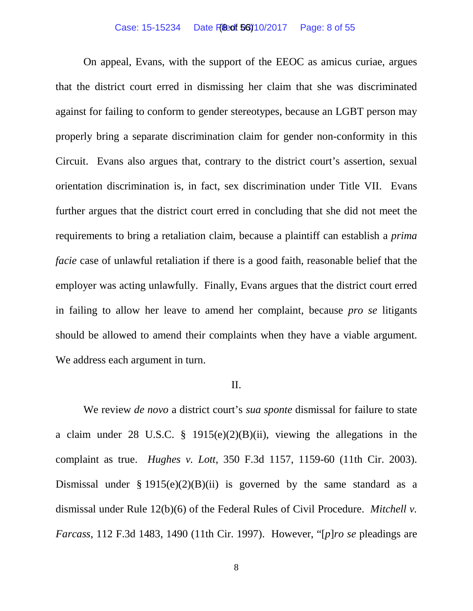#### Case: 15-15234 Date Filed: 56)10/2017 Page: 8 of 55

On appeal, Evans, with the support of the EEOC as amicus curiae, argues that the district court erred in dismissing her claim that she was discriminated against for failing to conform to gender stereotypes, because an LGBT person may properly bring a separate discrimination claim for gender non-conformity in this Circuit. Evans also argues that, contrary to the district court's assertion, sexual orientation discrimination is, in fact, sex discrimination under Title VII. Evans further argues that the district court erred in concluding that she did not meet the requirements to bring a retaliation claim, because a plaintiff can establish a *prima facie* case of unlawful retaliation if there is a good faith, reasonable belief that the employer was acting unlawfully. Finally, Evans argues that the district court erred in failing to allow her leave to amend her complaint, because *pro se* litigants should be allowed to amend their complaints when they have a viable argument. We address each argument in turn.

### II.

We review *de novo* a district court's *sua sponte* dismissal for failure to state a claim under 28 U.S.C. § 1915(e)(2)(B)(ii), viewing the allegations in the complaint as true. *Hughes v. Lott*, 350 F.3d 1157, 1159-60 (11th Cir. 2003). Dismissal under  $\S 1915(e)(2)(B)(ii)$  is governed by the same standard as a dismissal under Rule 12(b)(6) of the Federal Rules of Civil Procedure. *Mitchell v. Farcass*, 112 F.3d 1483, 1490 (11th Cir. 1997). However, "[*p*]*ro se* pleadings are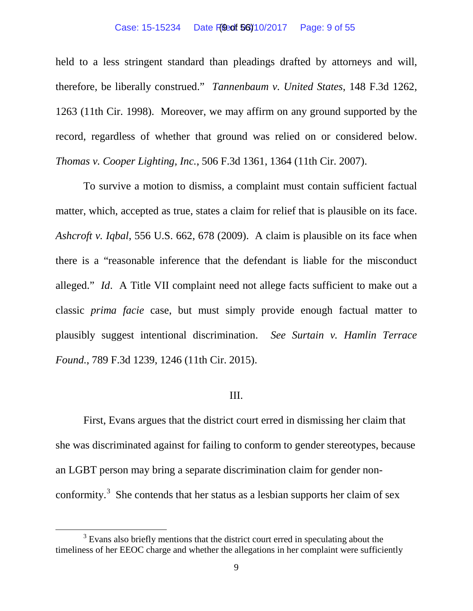#### Case: 15-15234 Date **Filed: 56)** 10/2017 Page: 9 of 55

held to a less stringent standard than pleadings drafted by attorneys and will, therefore, be liberally construed." *Tannenbaum v. United States*, 148 F.3d 1262, 1263 (11th Cir. 1998). Moreover, we may affirm on any ground supported by the record, regardless of whether that ground was relied on or considered below. *Thomas v. Cooper Lighting, Inc.*, 506 F.3d 1361, 1364 (11th Cir. 2007).

To survive a motion to dismiss, a complaint must contain sufficient factual matter, which, accepted as true, states a claim for relief that is plausible on its face. *Ashcroft v. Iqbal*, 556 U.S. 662, 678 (2009). A claim is plausible on its face when there is a "reasonable inference that the defendant is liable for the misconduct alleged." *Id*. A Title VII complaint need not allege facts sufficient to make out a classic *prima facie* case, but must simply provide enough factual matter to plausibly suggest intentional discrimination. *See Surtain v. Hamlin Terrace Found.*, 789 F.3d 1239, 1246 (11th Cir. 2015).

## III.

First, Evans argues that the district court erred in dismissing her claim that she was discriminated against for failing to conform to gender stereotypes, because an LGBT person may bring a separate discrimination claim for gender non-conformity.<sup>[3](#page-8-0)</sup> She contends that her status as a lesbian supports her claim of sex

<span id="page-8-0"></span><sup>&</sup>lt;sup>3</sup> Evans also briefly mentions that the district court erred in speculating about the timeliness of her EEOC charge and whether the allegations in her complaint were sufficiently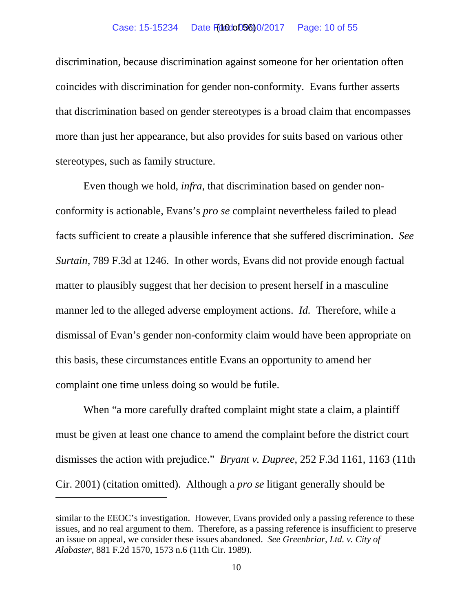discrimination, because discrimination against someone for her orientation often coincides with discrimination for gender non-conformity. Evans further asserts that discrimination based on gender stereotypes is a broad claim that encompasses more than just her appearance, but also provides for suits based on various other stereotypes, such as family structure.

Even though we hold, *infra*, that discrimination based on gender nonconformity is actionable, Evans's *pro se* complaint nevertheless failed to plead facts sufficient to create a plausible inference that she suffered discrimination. *See Surtain*, 789 F.3d at 1246. In other words, Evans did not provide enough factual matter to plausibly suggest that her decision to present herself in a masculine manner led to the alleged adverse employment actions. *Id.* Therefore, while a dismissal of Evan's gender non-conformity claim would have been appropriate on this basis, these circumstances entitle Evans an opportunity to amend her complaint one time unless doing so would be futile.

When "a more carefully drafted complaint might state a claim, a plaintiff must be given at least one chance to amend the complaint before the district court dismisses the action with prejudice." *Bryant v. Dupree*, 252 F.3d 1161, 1163 (11th Cir. 2001) (citation omitted). Although a *pro se* litigant generally should be

 $\overline{a}$ 

similar to the EEOC's investigation. However, Evans provided only a passing reference to these issues, and no real argument to them. Therefore, as a passing reference is insufficient to preserve an issue on appeal, we consider these issues abandoned. *See Greenbriar, Ltd. v. City of Alabaster*, 881 F.2d 1570, 1573 n.6 (11th Cir. 1989).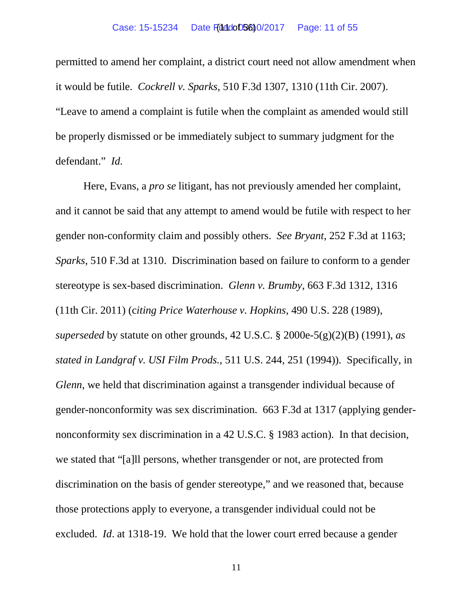permitted to amend her complaint, a district court need not allow amendment when it would be futile. *Cockrell v. Sparks*, 510 F.3d 1307, 1310 (11th Cir. 2007). "Leave to amend a complaint is futile when the complaint as amended would still be properly dismissed or be immediately subject to summary judgment for the defendant." *Id.*

Here, Evans, a *pro se* litigant, has not previously amended her complaint, and it cannot be said that any attempt to amend would be futile with respect to her gender non-conformity claim and possibly others. *See Bryant*, 252 F.3d at 1163; *Sparks*, 510 F.3d at 1310. Discrimination based on failure to conform to a gender stereotype is sex-based discrimination. *Glenn v. Brumby*, 663 F.3d 1312, 1316 (11th Cir. 2011) (c*iting Price Waterhouse v. Hopkins*, 490 U.S. 228 (1989), *superseded* by statute on other grounds, 42 U.S.C. § 2000e-5(g)(2)(B) (1991), *as stated in Landgraf v. USI Film Prods.*, 511 U.S. 244, 251 (1994)). Specifically, in *Glenn*, we held that discrimination against a transgender individual because of gender-nonconformity was sex discrimination. 663 F.3d at 1317 (applying gendernonconformity sex discrimination in a 42 U.S.C. § 1983 action). In that decision, we stated that "[a]ll persons, whether transgender or not, are protected from discrimination on the basis of gender stereotype," and we reasoned that, because those protections apply to everyone, a transgender individual could not be excluded. *Id*. at 1318-19. We hold that the lower court erred because a gender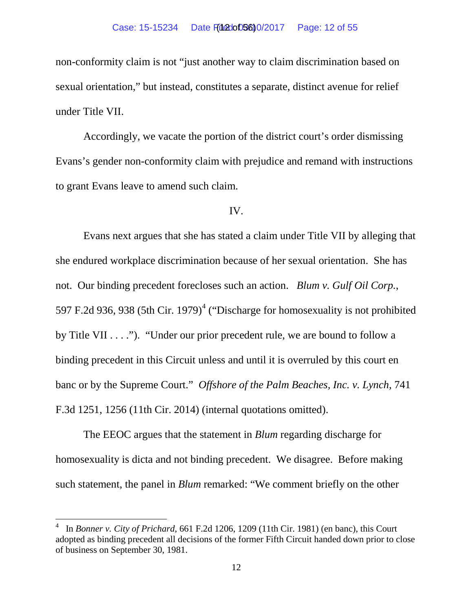non-conformity claim is not "just another way to claim discrimination based on sexual orientation," but instead, constitutes a separate, distinct avenue for relief under Title VII.

Accordingly, we vacate the portion of the district court's order dismissing Evans's gender non-conformity claim with prejudice and remand with instructions to grant Evans leave to amend such claim.

### IV.

Evans next argues that she has stated a claim under Title VII by alleging that she endured workplace discrimination because of her sexual orientation. She has not. Our binding precedent forecloses such an action. *Blum v. Gulf Oil Corp.*, 597 F.2d 936, 938 (5th Cir. 1979)<sup>[4](#page-11-0)</sup> ("Discharge for homosexuality is not prohibited by Title VII . . . ."). "Under our prior precedent rule, we are bound to follow a binding precedent in this Circuit unless and until it is overruled by this court en banc or by the Supreme Court." *Offshore of the Palm Beaches, Inc. v. Lynch*, 741 F.3d 1251, 1256 (11th Cir. 2014) (internal quotations omitted).

The EEOC argues that the statement in *Blum* regarding discharge for homosexuality is dicta and not binding precedent. We disagree. Before making such statement, the panel in *Blum* remarked: "We comment briefly on the other

<span id="page-11-0"></span> $\frac{1}{4}$  In *Bonner v. City of Prichard*, 661 F.2d 1206, 1209 (11th Cir. 1981) (en banc), this Court adopted as binding precedent all decisions of the former Fifth Circuit handed down prior to close of business on September 30, 1981.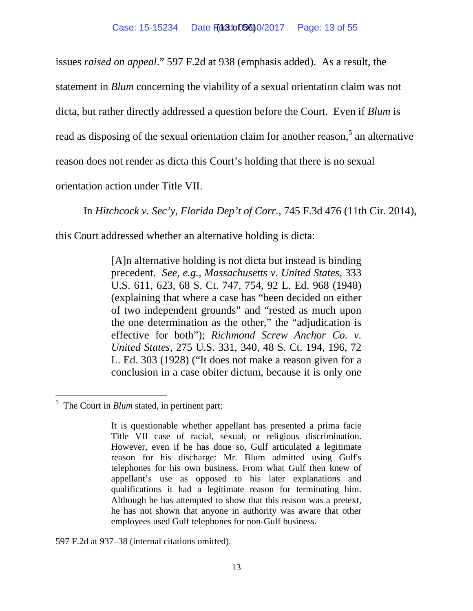issues *raised on appeal*." 597 F.2d at 938 (emphasis added). As a result, the

statement in *Blum* concerning the viability of a sexual orientation claim was not

dicta, but rather directly addressed a question before the Court. Even if *Blum* is

read as disposing of the sexual orientation claim for another reason,<sup>[5](#page-12-0)</sup> an alternative

reason does not render as dicta this Court's holding that there is no sexual

orientation action under Title VII.

In *Hitchcock v. Sec'y, Florida Dep't of Corr.*, 745 F.3d 476 (11th Cir. 2014),

this Court addressed whether an alternative holding is dicta:

[A]n alternative holding is not dicta but instead is binding precedent. *See, e.g., Massachusetts v. United States,* 333 U.S. 611, 623, 68 S. Ct. 747, 754, 92 L. Ed. 968 (1948) (explaining that where a case has "been decided on either of two independent grounds" and "rested as much upon the one determination as the other," the "adjudication is effective for both"); *Richmond Screw Anchor Co. v. United States,* 275 U.S. 331, 340, 48 S. Ct. 194, 196, 72 L. Ed. 303 (1928) ("It does not make a reason given for a conclusion in a case obiter dictum, because it is only one

597 F.2d at 937–38 (internal citations omitted).

<span id="page-12-0"></span><sup>&</sup>lt;sup>5</sup> The Court in *Blum* stated, in pertinent part:

It is questionable whether appellant has presented a prima facie Title VII case of racial, sexual, or religious discrimination. However, even if he has done so, Gulf articulated a legitimate reason for his discharge: Mr. Blum admitted using Gulf's telephones for his own business. From what Gulf then knew of appellant's use as opposed to his later explanations and qualifications it had a legitimate reason for terminating him. Although he has attempted to show that this reason was a pretext, he has not shown that anyone in authority was aware that other employees used Gulf telephones for non-Gulf business.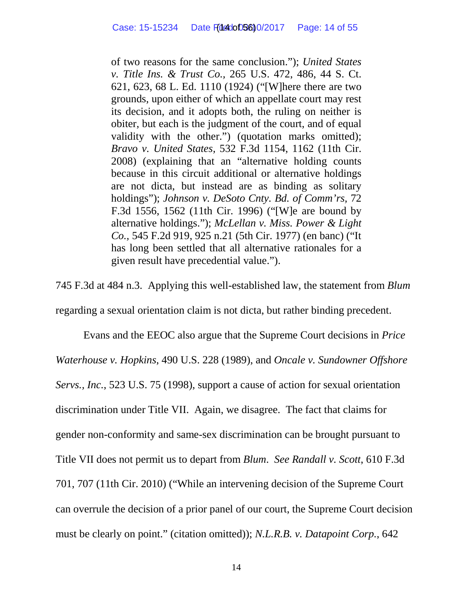of two reasons for the same conclusion."); *United States v. Title Ins. & Trust Co.,* 265 U.S. 472, 486, 44 S. Ct. 621, 623, 68 L. Ed. 1110 (1924) ("[W]here there are two grounds, upon either of which an appellate court may rest its decision, and it adopts both, the ruling on neither is obiter, but each is the judgment of the court, and of equal validity with the other.") (quotation marks omitted); *Bravo v. United States,* 532 F.3d 1154, 1162 (11th Cir. 2008) (explaining that an "alternative holding counts because in this circuit additional or alternative holdings are not dicta, but instead are as binding as solitary holdings"); *Johnson v. DeSoto Cnty. Bd. of Comm'rs,* 72 F.3d 1556, 1562 (11th Cir. 1996) ("[W]e are bound by alternative holdings."); *McLellan v. Miss. Power & Light Co.,* 545 F.2d 919, 925 n.21 (5th Cir. 1977) (en banc) ("It has long been settled that all alternative rationales for a given result have precedential value.").

745 F.3d at 484 n.3. Applying this well-established law, the statement from *Blum* regarding a sexual orientation claim is not dicta, but rather binding precedent.

Evans and the EEOC also argue that the Supreme Court decisions in *Price Waterhouse v. Hopkins*, 490 U.S. 228 (1989), and *Oncale v. Sundowner Offshore Servs., Inc.*, 523 U.S. 75 (1998), support a cause of action for sexual orientation discrimination under Title VII. Again, we disagree. The fact that claims for gender non-conformity and same-sex discrimination can be brought pursuant to Title VII does not permit us to depart from *Blum*. *See Randall v. Scott*, 610 F.3d 701, 707 (11th Cir. 2010) ("While an intervening decision of the Supreme Court can overrule the decision of a prior panel of our court, the Supreme Court decision must be clearly on point." (citation omitted)); *N.L.R.B. v. Datapoint Corp.*, 642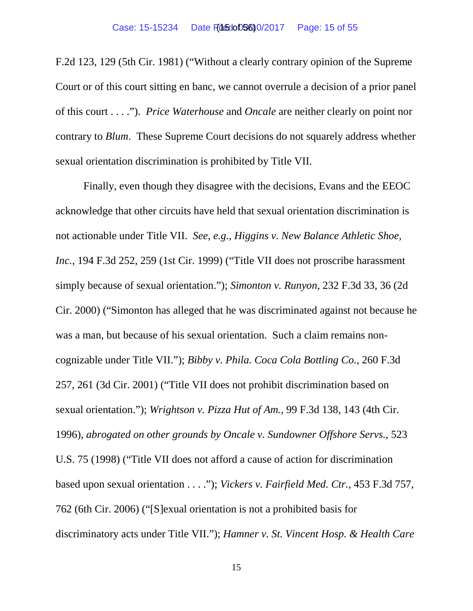F.2d 123, 129 (5th Cir. 1981) ("Without a clearly contrary opinion of the Supreme Court or of this court sitting en banc, we cannot overrule a decision of a prior panel of this court . . . ."). *Price Waterhouse* and *Oncale* are neither clearly on point nor contrary to *Blum*. These Supreme Court decisions do not squarely address whether sexual orientation discrimination is prohibited by Title VII.

Finally, even though they disagree with the decisions, Evans and the EEOC acknowledge that other circuits have held that sexual orientation discrimination is not actionable under Title VII. *See, e.g.*, *Higgins v. New Balance Athletic Shoe, Inc.*, 194 F.3d 252, 259 (1st Cir. 1999) ("Title VII does not proscribe harassment simply because of sexual orientation."); *Simonton v. Runyon*, 232 F.3d 33, 36 (2d Cir. 2000) ("Simonton has alleged that he was discriminated against not because he was a man, but because of his sexual orientation. Such a claim remains noncognizable under Title VII."); *Bibby v. Phila. Coca Cola Bottling Co.*, 260 F.3d 257, 261 (3d Cir. 2001) ("Title VII does not prohibit discrimination based on sexual orientation."); *Wrightson v. Pizza Hut of Am.*, 99 F.3d 138, 143 (4th Cir. 1996), *abrogated on other grounds by Oncale v. Sundowner Offshore Servs.*, 523 U.S. 75 (1998) ("Title VII does not afford a cause of action for discrimination based upon sexual orientation . . . ."); *Vickers v. Fairfield Med. Ctr.*, 453 F.3d 757, 762 (6th Cir. 2006) ("[S]exual orientation is not a prohibited basis for discriminatory acts under Title VII."); *Hamner v. St. Vincent Hosp. & Health Care*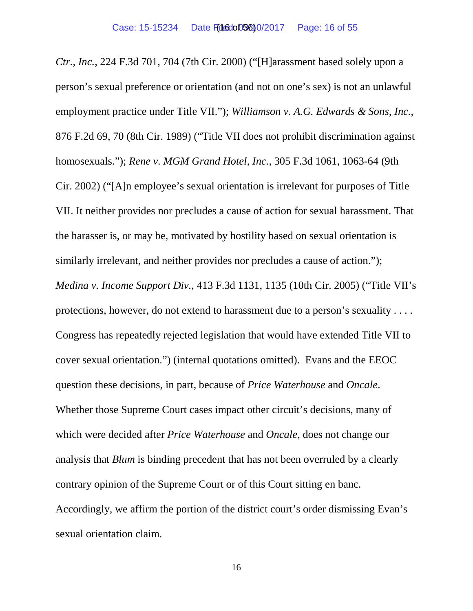*Ctr., Inc.*, 224 F.3d 701, 704 (7th Cir. 2000) ("[H]arassment based solely upon a person's sexual preference or orientation (and not on one's sex) is not an unlawful employment practice under Title VII."); *Williamson v. A.G. Edwards & Sons, Inc.*, 876 F.2d 69, 70 (8th Cir. 1989) ("Title VII does not prohibit discrimination against homosexuals."); *Rene v. MGM Grand Hotel, Inc.*, 305 F.3d 1061, 1063-64 (9th Cir. 2002) ("[A]n employee's sexual orientation is irrelevant for purposes of Title VII. It neither provides nor precludes a cause of action for sexual harassment. That the harasser is, or may be, motivated by hostility based on sexual orientation is similarly irrelevant, and neither provides nor precludes a cause of action."); *Medina v. Income Support Div.,* 413 F.3d 1131, 1135 (10th Cir. 2005) ("Title VII's protections, however, do not extend to harassment due to a person's sexuality . . . . Congress has repeatedly rejected legislation that would have extended Title VII to cover sexual orientation.") (internal quotations omitted). Evans and the EEOC question these decisions, in part, because of *Price Waterhouse* and *Oncale*. Whether those Supreme Court cases impact other circuit's decisions, many of which were decided after *Price Waterhouse* and *Oncale*, does not change our analysis that *Blum* is binding precedent that has not been overruled by a clearly contrary opinion of the Supreme Court or of this Court sitting en banc. Accordingly, we affirm the portion of the district court's order dismissing Evan's sexual orientation claim.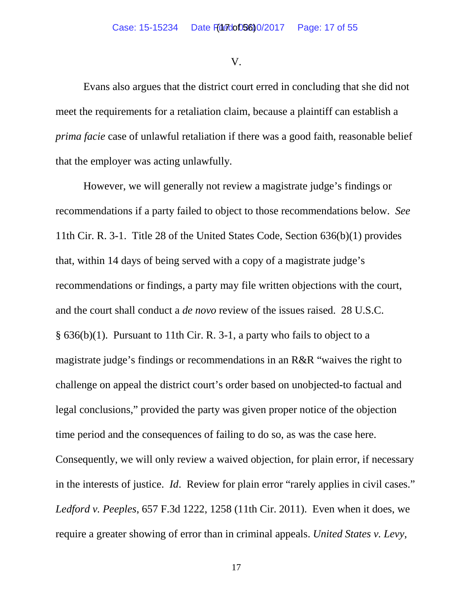V.

Evans also argues that the district court erred in concluding that she did not meet the requirements for a retaliation claim, because a plaintiff can establish a *prima facie* case of unlawful retaliation if there was a good faith, reasonable belief that the employer was acting unlawfully.

However, we will generally not review a magistrate judge's findings or recommendations if a party failed to object to those recommendations below. *See* 11th Cir. R. 3-1. Title 28 of the United States Code, Section 636(b)(1) provides that, within 14 days of being served with a copy of a magistrate judge's recommendations or findings, a party may file written objections with the court, and the court shall conduct a *de novo* review of the issues raised. 28 U.S.C. § 636(b)(1). Pursuant to 11th Cir. R. 3-1, a party who fails to object to a magistrate judge's findings or recommendations in an R&R "waives the right to challenge on appeal the district court's order based on unobjected-to factual and legal conclusions," provided the party was given proper notice of the objection time period and the consequences of failing to do so, as was the case here. Consequently, we will only review a waived objection, for plain error, if necessary in the interests of justice. *Id*. Review for plain error "rarely applies in civil cases." *Ledford v. Peeples*, 657 F.3d 1222, 1258 (11th Cir. 2011). Even when it does, we require a greater showing of error than in criminal appeals. *United States v. Levy*,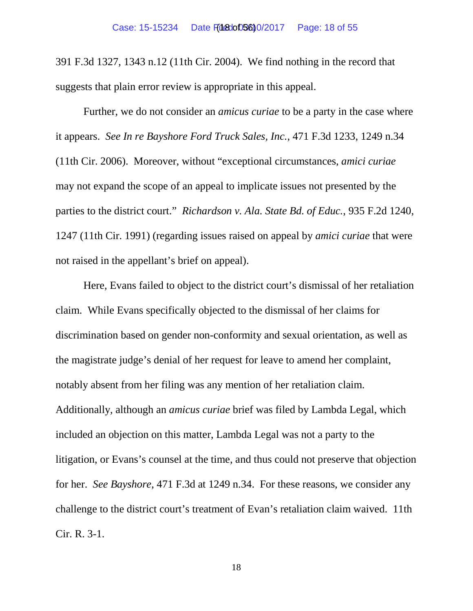391 F.3d 1327, 1343 n.12 (11th Cir. 2004). We find nothing in the record that suggests that plain error review is appropriate in this appeal.

Further, we do not consider an *amicus curiae* to be a party in the case where it appears. *See In re Bayshore Ford Truck Sales, Inc.*, 471 F.3d 1233, 1249 n.34 (11th Cir. 2006). Moreover, without "exceptional circumstances, *amici curiae* may not expand the scope of an appeal to implicate issues not presented by the parties to the district court." *Richardson v. Ala. State Bd. of Educ.*, 935 F.2d 1240, 1247 (11th Cir. 1991) (regarding issues raised on appeal by *amici curiae* that were not raised in the appellant's brief on appeal).

Here, Evans failed to object to the district court's dismissal of her retaliation claim. While Evans specifically objected to the dismissal of her claims for discrimination based on gender non-conformity and sexual orientation, as well as the magistrate judge's denial of her request for leave to amend her complaint, notably absent from her filing was any mention of her retaliation claim. Additionally, although an *amicus curiae* brief was filed by Lambda Legal, which included an objection on this matter, Lambda Legal was not a party to the litigation, or Evans's counsel at the time, and thus could not preserve that objection for her. *See Bayshore*, 471 F.3d at 1249 n.34. For these reasons, we consider any challenge to the district court's treatment of Evan's retaliation claim waived. 11th Cir. R. 3-1.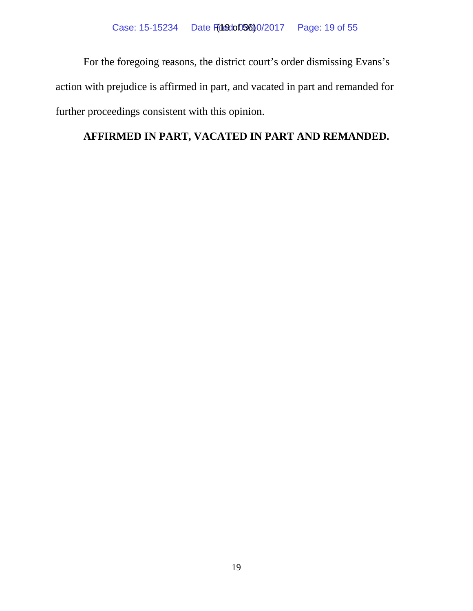For the foregoing reasons, the district court's order dismissing Evans's action with prejudice is affirmed in part, and vacated in part and remanded for further proceedings consistent with this opinion.

# **AFFIRMED IN PART, VACATED IN PART AND REMANDED.**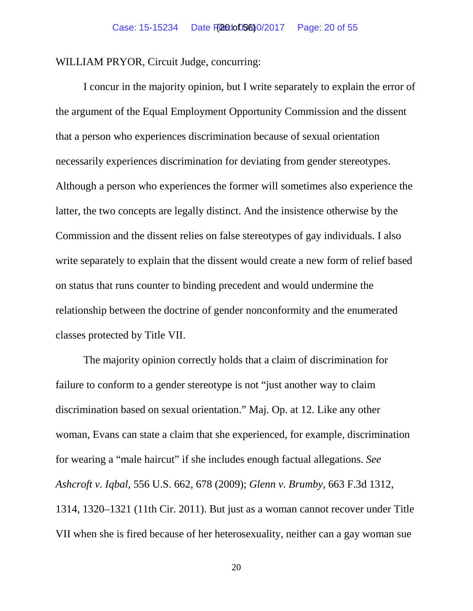WILLIAM PRYOR, Circuit Judge, concurring:

I concur in the majority opinion, but I write separately to explain the error of the argument of the Equal Employment Opportunity Commission and the dissent that a person who experiences discrimination because of sexual orientation necessarily experiences discrimination for deviating from gender stereotypes. Although a person who experiences the former will sometimes also experience the latter, the two concepts are legally distinct. And the insistence otherwise by the Commission and the dissent relies on false stereotypes of gay individuals. I also write separately to explain that the dissent would create a new form of relief based on status that runs counter to binding precedent and would undermine the relationship between the doctrine of gender nonconformity and the enumerated classes protected by Title VII.

The majority opinion correctly holds that a claim of discrimination for failure to conform to a gender stereotype is not "just another way to claim discrimination based on sexual orientation." Maj. Op. at 12. Like any other woman, Evans can state a claim that she experienced, for example, discrimination for wearing a "male haircut" if she includes enough factual allegations. *See Ashcroft v. Iqbal*, 556 U.S. 662, 678 (2009); *Glenn v. Brumby*, 663 F.3d 1312, 1314, 1320–1321 (11th Cir. 2011). But just as a woman cannot recover under Title VII when she is fired because of her heterosexuality, neither can a gay woman sue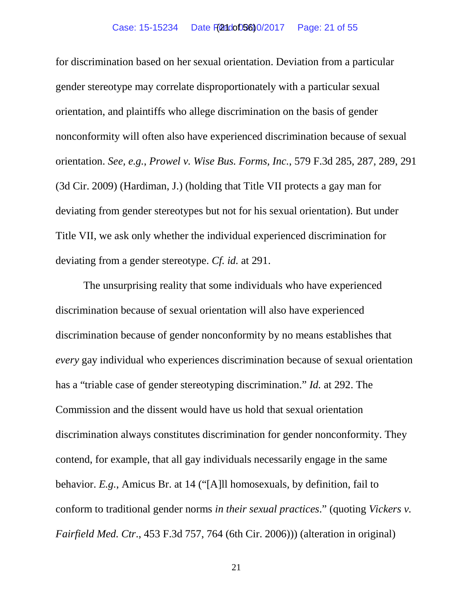#### Case: 15-15234 Date F(24dot)5600/2017 Page: 21 of 55

for discrimination based on her sexual orientation. Deviation from a particular gender stereotype may correlate disproportionately with a particular sexual orientation, and plaintiffs who allege discrimination on the basis of gender nonconformity will often also have experienced discrimination because of sexual orientation. *See, e.g.*, *Prowel v. Wise Bus. Forms, Inc.*, 579 F.3d 285, 287, 289, 291 (3d Cir. 2009) (Hardiman, J.) (holding that Title VII protects a gay man for deviating from gender stereotypes but not for his sexual orientation). But under Title VII, we ask only whether the individual experienced discrimination for deviating from a gender stereotype. *Cf. id.* at 291.

The unsurprising reality that some individuals who have experienced discrimination because of sexual orientation will also have experienced discrimination because of gender nonconformity by no means establishes that *every* gay individual who experiences discrimination because of sexual orientation has a "triable case of gender stereotyping discrimination." *Id.* at 292. The Commission and the dissent would have us hold that sexual orientation discrimination always constitutes discrimination for gender nonconformity. They contend, for example, that all gay individuals necessarily engage in the same behavior. *E.g.*, Amicus Br. at 14 ("[A]ll homosexuals, by definition, fail to conform to traditional gender norms *in their sexual practices*." (quoting *Vickers v. Fairfield Med. Ctr*., 453 F.3d 757, 764 (6th Cir. 2006))) (alteration in original)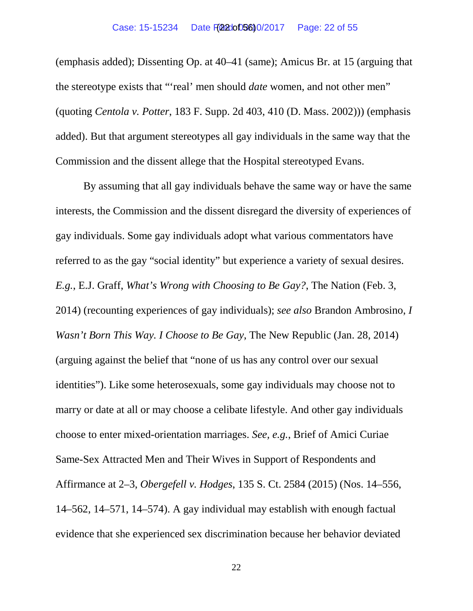(emphasis added); Dissenting Op. at 40–41 (same); Amicus Br. at 15 (arguing that the stereotype exists that "'real' men should *date* women, and not other men" (quoting *Centola v. Potter*, 183 F. Supp. 2d 403, 410 (D. Mass. 2002))) (emphasis added). But that argument stereotypes all gay individuals in the same way that the Commission and the dissent allege that the Hospital stereotyped Evans.

By assuming that all gay individuals behave the same way or have the same interests, the Commission and the dissent disregard the diversity of experiences of gay individuals. Some gay individuals adopt what various commentators have referred to as the gay "social identity" but experience a variety of sexual desires. *E.g.*, E.J. Graff, *What's Wrong with Choosing to Be Gay?*, The Nation (Feb. 3, 2014) (recounting experiences of gay individuals); *see also* Brandon Ambrosino, *I Wasn't Born This Way. I Choose to Be Gay*, The New Republic (Jan. 28, 2014) (arguing against the belief that "none of us has any control over our sexual identities"). Like some heterosexuals, some gay individuals may choose not to marry or date at all or may choose a celibate lifestyle. And other gay individuals choose to enter mixed-orientation marriages. *See, e.g.*, Brief of Amici Curiae Same-Sex Attracted Men and Their Wives in Support of Respondents and Affirmance at 2–3, *Obergefell v. Hodges*, 135 S. Ct. 2584 (2015) (Nos. 14–556, 14–562, 14–571, 14–574). A gay individual may establish with enough factual evidence that she experienced sex discrimination because her behavior deviated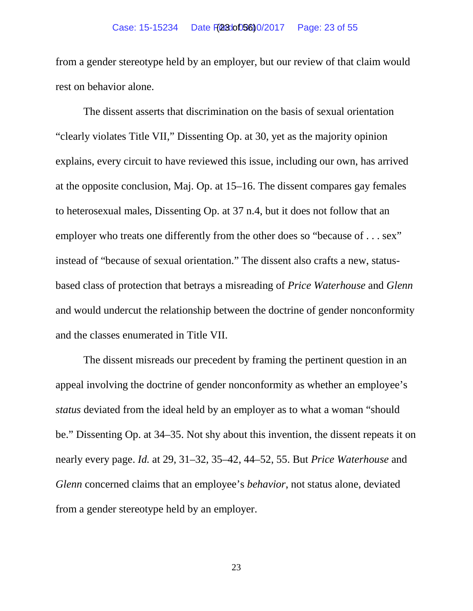from a gender stereotype held by an employer, but our review of that claim would rest on behavior alone.

The dissent asserts that discrimination on the basis of sexual orientation "clearly violates Title VII," Dissenting Op. at 30, yet as the majority opinion explains, every circuit to have reviewed this issue, including our own, has arrived at the opposite conclusion, Maj. Op. at 15–16. The dissent compares gay females to heterosexual males, Dissenting Op. at 37 n.4, but it does not follow that an employer who treats one differently from the other does so "because of . . . sex" instead of "because of sexual orientation." The dissent also crafts a new, statusbased class of protection that betrays a misreading of *Price Waterhouse* and *Glenn* and would undercut the relationship between the doctrine of gender nonconformity and the classes enumerated in Title VII.

The dissent misreads our precedent by framing the pertinent question in an appeal involving the doctrine of gender nonconformity as whether an employee's *status* deviated from the ideal held by an employer as to what a woman "should be." Dissenting Op. at 34–35. Not shy about this invention, the dissent repeats it on nearly every page. *Id.* at 29, 31–32, 35–42, 44–52, 55. But *Price Waterhouse* and *Glenn* concerned claims that an employee's *behavior*, not status alone, deviated from a gender stereotype held by an employer.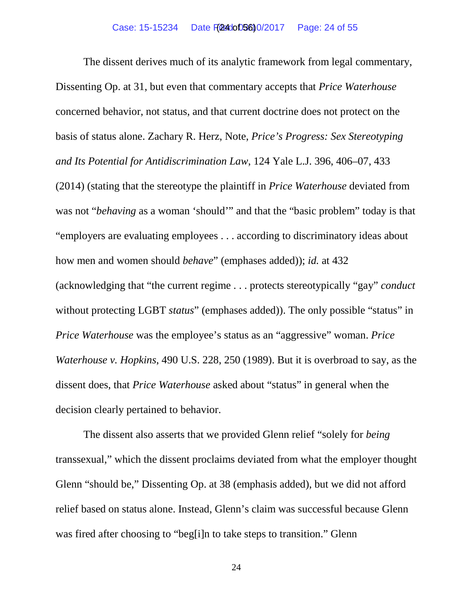The dissent derives much of its analytic framework from legal commentary, Dissenting Op. at 31, but even that commentary accepts that *Price Waterhouse* concerned behavior, not status, and that current doctrine does not protect on the basis of status alone. Zachary R. Herz, Note, *Price's Progress: Sex Stereotyping and Its Potential for Antidiscrimination Law*, 124 Yale L.J. 396, 406–07, 433 (2014) (stating that the stereotype the plaintiff in *Price Waterhouse* deviated from was not "*behaving* as a woman 'should'" and that the "basic problem" today is that "employers are evaluating employees . . . according to discriminatory ideas about how men and women should *behave*" (emphases added)); *id.* at 432 (acknowledging that "the current regime . . . protects stereotypically "gay" *conduct* without protecting LGBT *status*" (emphases added)). The only possible "status" in *Price Waterhouse* was the employee's status as an "aggressive" woman. *Price Waterhouse v. Hopkins*, 490 U.S. 228, 250 (1989). But it is overbroad to say, as the dissent does, that *Price Waterhouse* asked about "status" in general when the decision clearly pertained to behavior.

The dissent also asserts that we provided Glenn relief "solely for *being* transsexual," which the dissent proclaims deviated from what the employer thought Glenn "should be," Dissenting Op. at 38 (emphasis added), but we did not afford relief based on status alone. Instead, Glenn's claim was successful because Glenn was fired after choosing to "beg[i]n to take steps to transition." Glenn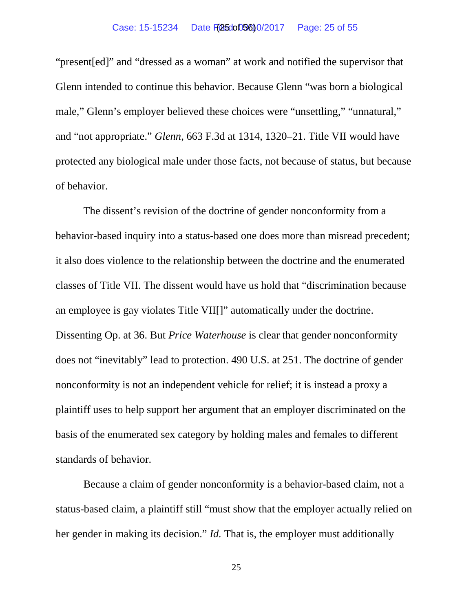#### Case: 15-15234 Date F(2500056)0/2017 Page: 25 of 55

"present[ed]" and "dressed as a woman" at work and notified the supervisor that Glenn intended to continue this behavior. Because Glenn "was born a biological male," Glenn's employer believed these choices were "unsettling," "unnatural," and "not appropriate." *Glenn*, 663 F.3d at 1314, 1320–21. Title VII would have protected any biological male under those facts, not because of status, but because of behavior.

The dissent's revision of the doctrine of gender nonconformity from a behavior-based inquiry into a status-based one does more than misread precedent; it also does violence to the relationship between the doctrine and the enumerated classes of Title VII. The dissent would have us hold that "discrimination because an employee is gay violates Title VII[]" automatically under the doctrine. Dissenting Op. at 36. But *Price Waterhouse* is clear that gender nonconformity does not "inevitably" lead to protection. 490 U.S. at 251. The doctrine of gender nonconformity is not an independent vehicle for relief; it is instead a proxy a plaintiff uses to help support her argument that an employer discriminated on the basis of the enumerated sex category by holding males and females to different standards of behavior.

Because a claim of gender nonconformity is a behavior-based claim, not a status-based claim, a plaintiff still "must show that the employer actually relied on her gender in making its decision." *Id.* That is, the employer must additionally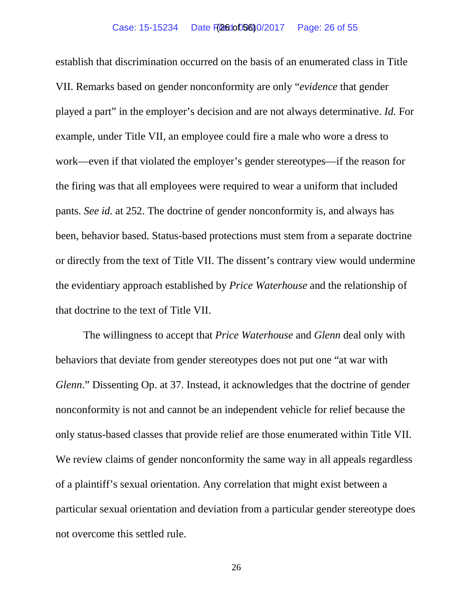establish that discrimination occurred on the basis of an enumerated class in Title VII. Remarks based on gender nonconformity are only "*evidence* that gender played a part" in the employer's decision and are not always determinative. *Id.* For example, under Title VII, an employee could fire a male who wore a dress to work—even if that violated the employer's gender stereotypes—if the reason for the firing was that all employees were required to wear a uniform that included pants. *See id.* at 252. The doctrine of gender nonconformity is, and always has been, behavior based. Status-based protections must stem from a separate doctrine or directly from the text of Title VII. The dissent's contrary view would undermine the evidentiary approach established by *Price Waterhouse* and the relationship of that doctrine to the text of Title VII.

The willingness to accept that *Price Waterhouse* and *Glenn* deal only with behaviors that deviate from gender stereotypes does not put one "at war with *Glenn*." Dissenting Op. at 37. Instead, it acknowledges that the doctrine of gender nonconformity is not and cannot be an independent vehicle for relief because the only status-based classes that provide relief are those enumerated within Title VII. We review claims of gender nonconformity the same way in all appeals regardless of a plaintiff's sexual orientation. Any correlation that might exist between a particular sexual orientation and deviation from a particular gender stereotype does not overcome this settled rule.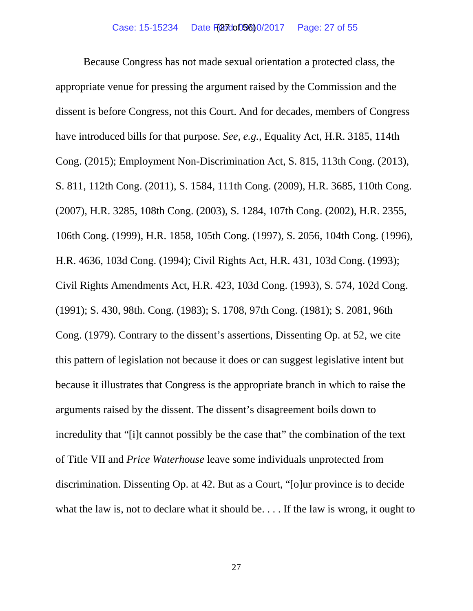Because Congress has not made sexual orientation a protected class, the appropriate venue for pressing the argument raised by the Commission and the dissent is before Congress, not this Court. And for decades, members of Congress have introduced bills for that purpose. *See, e.g.*, Equality Act, H.R. 3185, 114th Cong. (2015); Employment Non-Discrimination Act, S. 815, 113th Cong. (2013), S. 811, 112th Cong. (2011), S. 1584, 111th Cong. (2009), H.R. 3685, 110th Cong. (2007), H.R. 3285, 108th Cong. (2003), S. 1284, 107th Cong. (2002), H.R. 2355, 106th Cong. (1999), H.R. 1858, 105th Cong. (1997), S. 2056, 104th Cong. (1996), H.R. 4636, 103d Cong. (1994); Civil Rights Act, H.R. 431, 103d Cong. (1993); Civil Rights Amendments Act, H.R. 423, 103d Cong. (1993), S. 574, 102d Cong. (1991); S. 430, 98th. Cong. (1983); S. 1708, 97th Cong. (1981); S. 2081, 96th Cong. (1979). Contrary to the dissent's assertions, Dissenting Op. at 52, we cite this pattern of legislation not because it does or can suggest legislative intent but because it illustrates that Congress is the appropriate branch in which to raise the arguments raised by the dissent. The dissent's disagreement boils down to incredulity that "[i]t cannot possibly be the case that" the combination of the text of Title VII and *Price Waterhouse* leave some individuals unprotected from discrimination. Dissenting Op. at 42. But as a Court, "[o]ur province is to decide what the law is, not to declare what it should be. . . . If the law is wrong, it ought to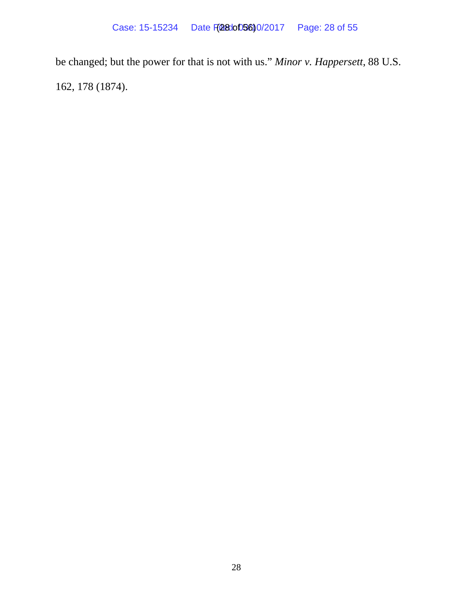be changed; but the power for that is not with us." *Minor v. Happersett*, 88 U.S. 162, 178 (1874).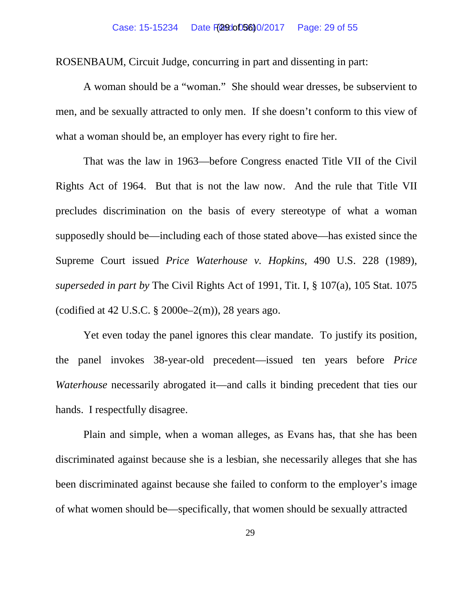ROSENBAUM, Circuit Judge, concurring in part and dissenting in part:

A woman should be a "woman." She should wear dresses, be subservient to men, and be sexually attracted to only men. If she doesn't conform to this view of what a woman should be, an employer has every right to fire her.

That was the law in 1963—before Congress enacted Title VII of the Civil Rights Act of 1964. But that is not the law now. And the rule that Title VII precludes discrimination on the basis of every stereotype of what a woman supposedly should be—including each of those stated above—has existed since the Supreme Court issued *Price Waterhouse v. Hopkins*, 490 U.S. 228 (1989), *superseded in part by* The Civil Rights Act of 1991, Tit. I, § 107(a), 105 Stat. 1075 (codified at 42 U.S.C.  $\S 2000e-2(m)$ ), 28 years ago.

Yet even today the panel ignores this clear mandate. To justify its position, the panel invokes 38-year-old precedent—issued ten years before *Price Waterhouse* necessarily abrogated it—and calls it binding precedent that ties our hands. I respectfully disagree.

Plain and simple, when a woman alleges, as Evans has, that she has been discriminated against because she is a lesbian, she necessarily alleges that she has been discriminated against because she failed to conform to the employer's image of what women should be—specifically, that women should be sexually attracted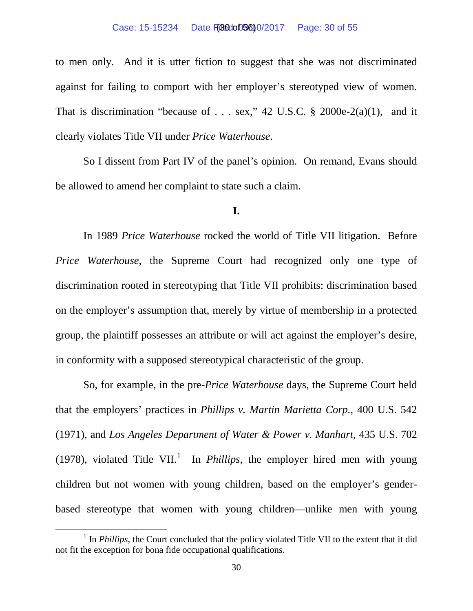to men only. And it is utter fiction to suggest that she was not discriminated against for failing to comport with her employer's stereotyped view of women. That is discrimination "because of . . . sex," 42 U.S.C.  $\S$  2000e-2(a)(1), and it clearly violates Title VII under *Price Waterhouse*.

So I dissent from Part IV of the panel's opinion. On remand, Evans should be allowed to amend her complaint to state such a claim.

## **I.**

In 1989 *Price Waterhouse* rocked the world of Title VII litigation. Before *Price Waterhouse*, the Supreme Court had recognized only one type of discrimination rooted in stereotyping that Title VII prohibits: discrimination based on the employer's assumption that, merely by virtue of membership in a protected group, the plaintiff possesses an attribute or will act against the employer's desire, in conformity with a supposed stereotypical characteristic of the group.

So, for example, in the pre-*Price Waterhouse* days, the Supreme Court held that the employers' practices in *Phillips v. Martin Marietta Corp.*, 400 U.S. 542 (1971), and *Los Angeles Department of Water & Power v. Manhart*, 435 U.S. 702 ([1](#page-29-0)978), violated Title VII.<sup>1</sup> In *Phillips*, the employer hired men with young children but not women with young children, based on the employer's genderbased stereotype that women with young children—unlike men with young

<span id="page-29-0"></span><sup>&</sup>lt;sup>1</sup> In *Phillips*, the Court concluded that the policy violated Title VII to the extent that it did not fit the exception for bona fide occupational qualifications.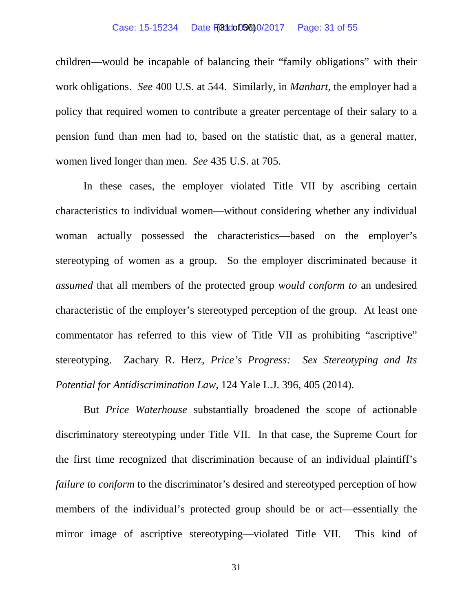#### Case: 15-15234 Date F( $\frac{103}{100}$  D<sub>40</sub> 0/2017 Page: 31 of 55

children—would be incapable of balancing their "family obligations" with their work obligations. *See* 400 U.S. at 544. Similarly, in *Manhart*, the employer had a policy that required women to contribute a greater percentage of their salary to a pension fund than men had to, based on the statistic that, as a general matter, women lived longer than men. *See* 435 U.S. at 705.

In these cases, the employer violated Title VII by ascribing certain characteristics to individual women—without considering whether any individual woman actually possessed the characteristics—based on the employer's stereotyping of women as a group. So the employer discriminated because it *assumed* that all members of the protected group *would conform to* an undesired characteristic of the employer's stereotyped perception of the group. At least one commentator has referred to this view of Title VII as prohibiting "ascriptive" stereotyping. Zachary R. Herz, *Price's Progress: Sex Stereotyping and Its Potential for Antidiscrimination Law*, 124 Yale L.J. 396, 405 (2014).

But *Price Waterhouse* substantially broadened the scope of actionable discriminatory stereotyping under Title VII. In that case, the Supreme Court for the first time recognized that discrimination because of an individual plaintiff's *failure to conform* to the discriminator's desired and stereotyped perception of how members of the individual's protected group should be or act—essentially the mirror image of ascriptive stereotyping—violated Title VII. This kind of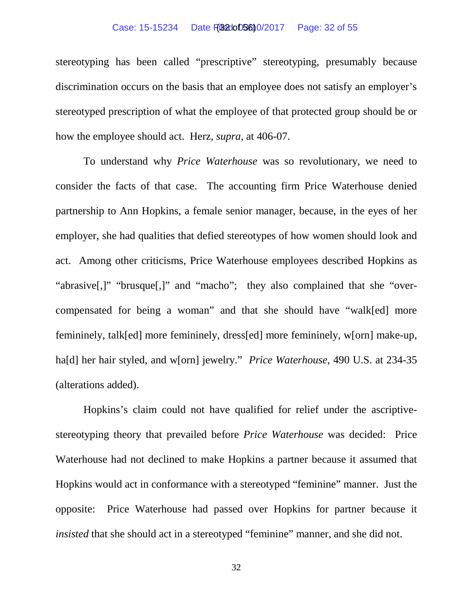#### Case: 15-15234 Date FG8200D5600/2017 Page: 32 of 55

stereotyping has been called "prescriptive" stereotyping, presumably because discrimination occurs on the basis that an employee does not satisfy an employer's stereotyped prescription of what the employee of that protected group should be or how the employee should act. Herz, *supra*, at 406-07.

To understand why *Price Waterhouse* was so revolutionary, we need to consider the facts of that case. The accounting firm Price Waterhouse denied partnership to Ann Hopkins, a female senior manager, because, in the eyes of her employer, she had qualities that defied stereotypes of how women should look and act. Among other criticisms, Price Waterhouse employees described Hopkins as "abrasive[,]" "brusque[,]" and "macho"; they also complained that she "overcompensated for being a woman" and that she should have "walk[ed] more femininely, talk[ed] more femininely, dress[ed] more femininely, w[orn] make-up, ha[d] her hair styled, and w[orn] jewelry." *Price Waterhouse*, 490 U.S. at 234-35 (alterations added).

Hopkins's claim could not have qualified for relief under the ascriptivestereotyping theory that prevailed before *Price Waterhouse* was decided: Price Waterhouse had not declined to make Hopkins a partner because it assumed that Hopkins would act in conformance with a stereotyped "feminine" manner. Just the opposite: Price Waterhouse had passed over Hopkins for partner because it *insisted* that she should act in a stereotyped "feminine" manner, and she did not.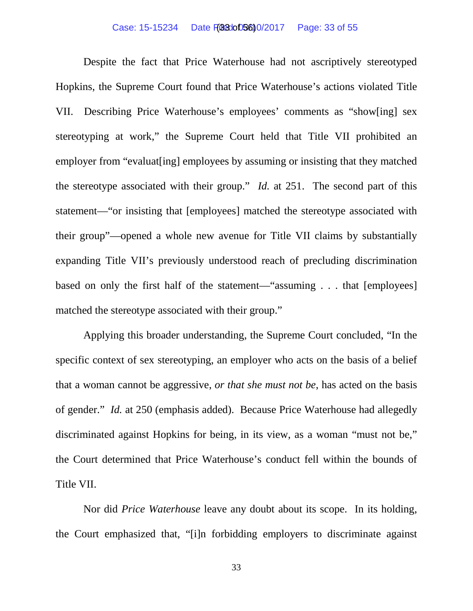#### Case: 15-15234 Date F(030005600/2017 Page: 33 of 55

Despite the fact that Price Waterhouse had not ascriptively stereotyped Hopkins, the Supreme Court found that Price Waterhouse's actions violated Title VII. Describing Price Waterhouse's employees' comments as "show[ing] sex stereotyping at work," the Supreme Court held that Title VII prohibited an employer from "evaluat[ing] employees by assuming or insisting that they matched the stereotype associated with their group." *Id.* at 251. The second part of this statement—"or insisting that [employees] matched the stereotype associated with their group"—opened a whole new avenue for Title VII claims by substantially expanding Title VII's previously understood reach of precluding discrimination based on only the first half of the statement—"assuming . . . that [employees] matched the stereotype associated with their group."

Applying this broader understanding, the Supreme Court concluded, "In the specific context of sex stereotyping, an employer who acts on the basis of a belief that a woman cannot be aggressive, *or that she must not be*, has acted on the basis of gender." *Id.* at 250 (emphasis added). Because Price Waterhouse had allegedly discriminated against Hopkins for being, in its view, as a woman "must not be," the Court determined that Price Waterhouse's conduct fell within the bounds of Title VII.

Nor did *Price Waterhouse* leave any doubt about its scope. In its holding, the Court emphasized that, "[i]n forbidding employers to discriminate against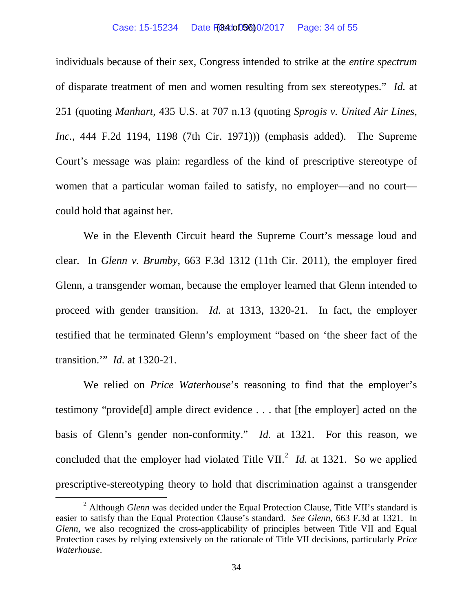#### Case: 15-15234 Date File 400005600/2017 Page: 34 of 55

individuals because of their sex, Congress intended to strike at the *entire spectrum* of disparate treatment of men and women resulting from sex stereotypes." *Id.* at 251 (quoting *Manhart*, 435 U.S. at 707 n.13 (quoting *Sprogis v. United Air Lines, Inc.*, 444 F.2d 1194, 1198 (7th Cir. 1971))) (emphasis added). The Supreme Court's message was plain: regardless of the kind of prescriptive stereotype of women that a particular woman failed to satisfy, no employer—and no court could hold that against her.

We in the Eleventh Circuit heard the Supreme Court's message loud and clear. In *Glenn v. Brumby*, 663 F.3d 1312 (11th Cir. 2011), the employer fired Glenn, a transgender woman, because the employer learned that Glenn intended to proceed with gender transition. *Id.* at 1313, 1320-21. In fact, the employer testified that he terminated Glenn's employment "based on 'the sheer fact of the transition.'" *Id.* at 1320-21.

We relied on *Price Waterhouse*'s reasoning to find that the employer's testimony "provide[d] ample direct evidence . . . that [the employer] acted on the basis of Glenn's gender non-conformity." *Id.* at 1321. For this reason, we concluded that the employer had violated Title VII.<sup>[2](#page-33-0)</sup> *Id.* at 1321. So we applied prescriptive-stereotyping theory to hold that discrimination against a transgender

<span id="page-33-0"></span><sup>&</sup>lt;sup>2</sup> Although *Glenn* was decided under the Equal Protection Clause, Title VII's standard is easier to satisfy than the Equal Protection Clause's standard. *See Glenn*, 663 F.3d at 1321. In *Glenn*, we also recognized the cross-applicability of principles between Title VII and Equal Protection cases by relying extensively on the rationale of Title VII decisions, particularly *Price Waterhouse*.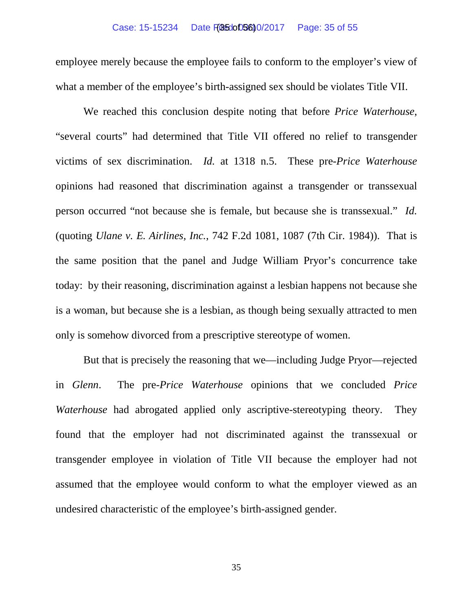#### Case: 15-15234 Date Filed: 03/10/2017 Page: 35 of 55 (35 of 56)

employee merely because the employee fails to conform to the employer's view of what a member of the employee's birth-assigned sex should be violates Title VII.

We reached this conclusion despite noting that before *Price Waterhouse*, "several courts" had determined that Title VII offered no relief to transgender victims of sex discrimination. *Id.* at 1318 n.5. These pre-*Price Waterhouse* opinions had reasoned that discrimination against a transgender or transsexual person occurred "not because she is female, but because she is transsexual." *Id.* (quoting *Ulane v. E. Airlines, Inc.*, 742 F.2d 1081, 1087 (7th Cir. 1984)). That is the same position that the panel and Judge William Pryor's concurrence take today: by their reasoning, discrimination against a lesbian happens not because she is a woman, but because she is a lesbian, as though being sexually attracted to men only is somehow divorced from a prescriptive stereotype of women.

But that is precisely the reasoning that we—including Judge Pryor—rejected in *Glenn*. The pre-*Price Waterhouse* opinions that we concluded *Price Waterhouse* had abrogated applied only ascriptive-stereotyping theory. They found that the employer had not discriminated against the transsexual or transgender employee in violation of Title VII because the employer had not assumed that the employee would conform to what the employer viewed as an undesired characteristic of the employee's birth-assigned gender.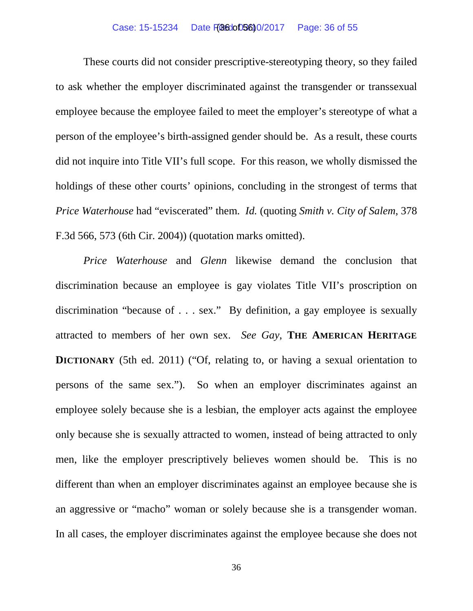These courts did not consider prescriptive-stereotyping theory, so they failed to ask whether the employer discriminated against the transgender or transsexual employee because the employee failed to meet the employer's stereotype of what a person of the employee's birth-assigned gender should be. As a result, these courts did not inquire into Title VII's full scope. For this reason, we wholly dismissed the holdings of these other courts' opinions, concluding in the strongest of terms that *Price Waterhouse* had "eviscerated" them. *Id.* (quoting *Smith v. City of Salem*, 378 F.3d 566, 573 (6th Cir. 2004)) (quotation marks omitted).

*Price Waterhouse* and *Glenn* likewise demand the conclusion that discrimination because an employee is gay violates Title VII's proscription on discrimination "because of . . . sex." By definition, a gay employee is sexually attracted to members of her own sex. *See Gay*, **THE AMERICAN HERITAGE DICTIONARY** (5th ed. 2011) ("Of, relating to, or having a sexual orientation to persons of the same sex."). So when an employer discriminates against an employee solely because she is a lesbian, the employer acts against the employee only because she is sexually attracted to women, instead of being attracted to only men, like the employer prescriptively believes women should be. This is no different than when an employer discriminates against an employee because she is an aggressive or "macho" woman or solely because she is a transgender woman. In all cases, the employer discriminates against the employee because she does not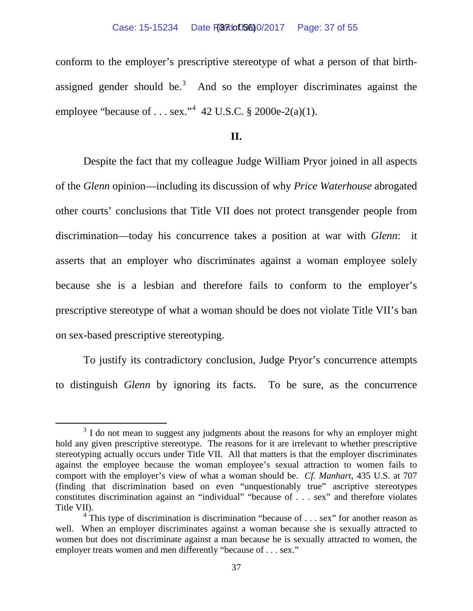#### Case: 15-15234 Date FGB7doD5600/2017 Page: 37 of 55

conform to the employer's prescriptive stereotype of what a person of that birth-assigned gender should be.<sup>[3](#page-36-0)</sup> And so the employer discriminates against the employee "because of . . . sex."<sup>[4](#page-36-1)</sup> 42 U.S.C. § 2000e-2(a)(1).

## **II.**

Despite the fact that my colleague Judge William Pryor joined in all aspects of the *Glenn* opinion—including its discussion of why *Price Waterhouse* abrogated other courts' conclusions that Title VII does not protect transgender people from discrimination—today his concurrence takes a position at war with *Glenn*: it asserts that an employer who discriminates against a woman employee solely because she is a lesbian and therefore fails to conform to the employer's prescriptive stereotype of what a woman should be does not violate Title VII's ban on sex-based prescriptive stereotyping.

To justify its contradictory conclusion, Judge Pryor's concurrence attempts to distinguish *Glenn* by ignoring its facts. To be sure, as the concurrence

<span id="page-36-0"></span><sup>&</sup>lt;sup>3</sup> I do not mean to suggest any judgments about the reasons for why an employer might hold any given prescriptive stereotype. The reasons for it are irrelevant to whether prescriptive stereotyping actually occurs under Title VII. All that matters is that the employer discriminates against the employee because the woman employee's sexual attraction to women fails to comport with the employer's view of what a woman should be. *Cf. Manhart*, 435 U.S. at 707 (finding that discrimination based on even "unquestionably true" ascriptive stereotypes constitutes discrimination against an "individual" "because of . . . sex" and therefore violates Title VII).

<span id="page-36-1"></span> $4$  This type of discrimination is discrimination "because of . . . sex" for another reason as well. When an employer discriminates against a woman because she is sexually attracted to women but does not discriminate against a man because he is sexually attracted to women, the employer treats women and men differently "because of . . . sex."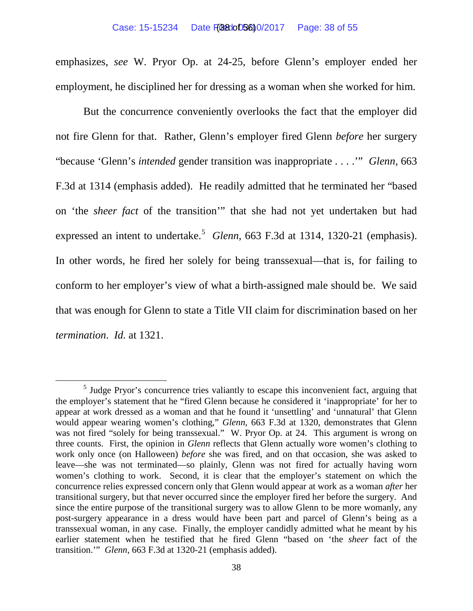emphasizes, *see* W. Pryor Op. at 24-25, before Glenn's employer ended her employment, he disciplined her for dressing as a woman when she worked for him.

But the concurrence conveniently overlooks the fact that the employer did not fire Glenn for that. Rather, Glenn's employer fired Glenn *before* her surgery "because 'Glenn's *intended* gender transition was inappropriate . . . .'" *Glenn*, 663 F.3d at 1314 (emphasis added). He readily admitted that he terminated her "based on 'the *sheer fact* of the transition'" that she had not yet undertaken but had expressed an intent to undertake.<sup>[5](#page-37-0)</sup> *Glenn*, 663 F.3d at 1314, 1320-21 (emphasis). In other words, he fired her solely for being transsexual—that is, for failing to conform to her employer's view of what a birth-assigned male should be. We said that was enough for Glenn to state a Title VII claim for discrimination based on her *termination*. *Id.* at 1321.

<span id="page-37-0"></span><sup>&</sup>lt;sup>5</sup> Judge Pryor's concurrence tries valiantly to escape this inconvenient fact, arguing that the employer's statement that he "fired Glenn because he considered it 'inappropriate' for her to appear at work dressed as a woman and that he found it 'unsettling' and 'unnatural' that Glenn would appear wearing women's clothing," *Glenn*, 663 F.3d at 1320, demonstrates that Glenn was not fired "solely for being transsexual." W. Pryor Op. at 24. This argument is wrong on three counts. First, the opinion in *Glenn* reflects that Glenn actually wore women's clothing to work only once (on Halloween) *before* she was fired, and on that occasion, she was asked to leave—she was not terminated—so plainly, Glenn was not fired for actually having worn women's clothing to work. Second, it is clear that the employer's statement on which the concurrence relies expressed concern only that Glenn would appear at work as a woman *after* her transitional surgery, but that never occurred since the employer fired her before the surgery. And since the entire purpose of the transitional surgery was to allow Glenn to be more womanly, any post-surgery appearance in a dress would have been part and parcel of Glenn's being as a transsexual woman, in any case. Finally, the employer candidly admitted what he meant by his earlier statement when he testified that he fired Glenn "based on 'the *sheer* fact of the transition.'" *Glenn*, 663 F.3d at 1320-21 (emphasis added).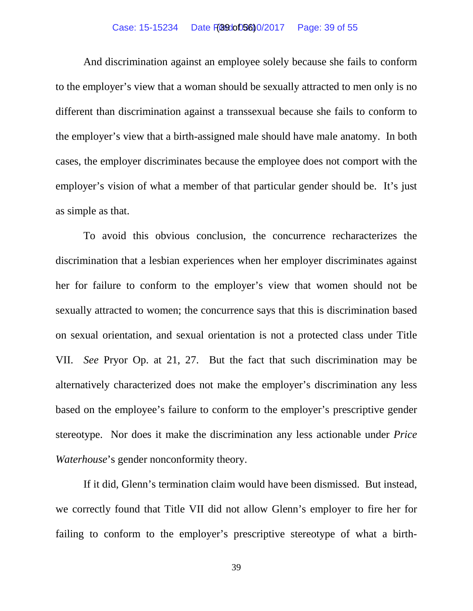## Case: 15-15234 Date **FG9do05600/2017** Page: 39 of 55

And discrimination against an employee solely because she fails to conform to the employer's view that a woman should be sexually attracted to men only is no different than discrimination against a transsexual because she fails to conform to the employer's view that a birth-assigned male should have male anatomy. In both cases, the employer discriminates because the employee does not comport with the employer's vision of what a member of that particular gender should be. It's just as simple as that.

To avoid this obvious conclusion, the concurrence recharacterizes the discrimination that a lesbian experiences when her employer discriminates against her for failure to conform to the employer's view that women should not be sexually attracted to women; the concurrence says that this is discrimination based on sexual orientation, and sexual orientation is not a protected class under Title VII. *See* Pryor Op. at 21, 27. But the fact that such discrimination may be alternatively characterized does not make the employer's discrimination any less based on the employee's failure to conform to the employer's prescriptive gender stereotype. Nor does it make the discrimination any less actionable under *Price Waterhouse*'s gender nonconformity theory.

If it did, Glenn's termination claim would have been dismissed. But instead, we correctly found that Title VII did not allow Glenn's employer to fire her for failing to conform to the employer's prescriptive stereotype of what a birth-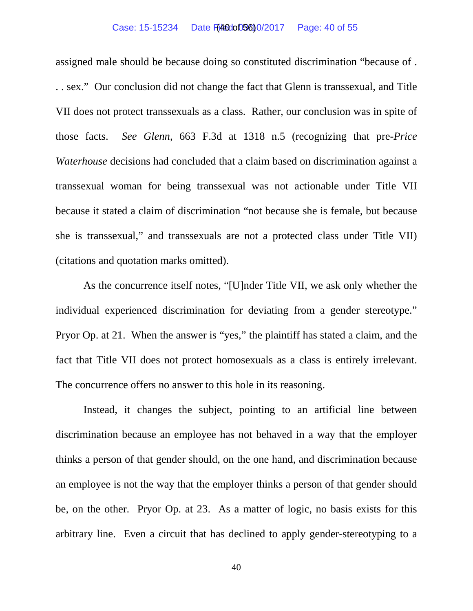#### Case: 15-15234 Date Filed: 05600/2017 Page: 40 of 55

assigned male should be because doing so constituted discrimination "because of . . . sex." Our conclusion did not change the fact that Glenn is transsexual, and Title VII does not protect transsexuals as a class. Rather, our conclusion was in spite of those facts. *See Glenn*, 663 F.3d at 1318 n.5 (recognizing that pre-*Price Waterhouse* decisions had concluded that a claim based on discrimination against a transsexual woman for being transsexual was not actionable under Title VII because it stated a claim of discrimination "not because she is female, but because she is transsexual," and transsexuals are not a protected class under Title VII) (citations and quotation marks omitted).

As the concurrence itself notes, "[U]nder Title VII, we ask only whether the individual experienced discrimination for deviating from a gender stereotype." Pryor Op. at 21. When the answer is "yes," the plaintiff has stated a claim, and the fact that Title VII does not protect homosexuals as a class is entirely irrelevant. The concurrence offers no answer to this hole in its reasoning.

Instead, it changes the subject, pointing to an artificial line between discrimination because an employee has not behaved in a way that the employer thinks a person of that gender should, on the one hand, and discrimination because an employee is not the way that the employer thinks a person of that gender should be, on the other. Pryor Op. at 23. As a matter of logic, no basis exists for this arbitrary line. Even a circuit that has declined to apply gender-stereotyping to a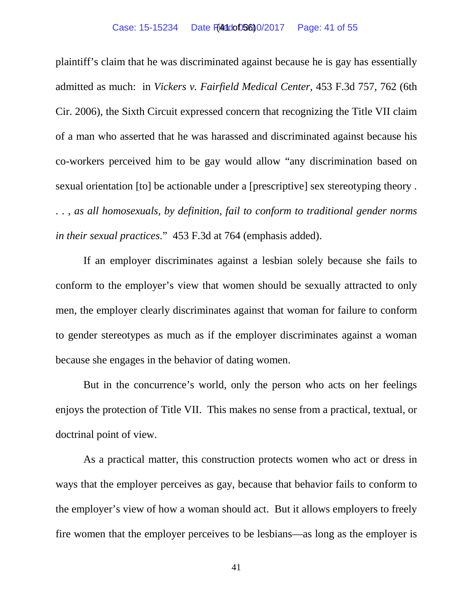plaintiff's claim that he was discriminated against because he is gay has essentially admitted as much: in *Vickers v. Fairfield Medical Center*, 453 F.3d 757, 762 (6th Cir. 2006), the Sixth Circuit expressed concern that recognizing the Title VII claim of a man who asserted that he was harassed and discriminated against because his co-workers perceived him to be gay would allow "any discrimination based on sexual orientation [to] be actionable under a [prescriptive] sex stereotyping theory . . . , *as all homosexuals, by definition, fail to conform to traditional gender norms in their sexual practices*." 453 F.3d at 764 (emphasis added).

If an employer discriminates against a lesbian solely because she fails to conform to the employer's view that women should be sexually attracted to only men, the employer clearly discriminates against that woman for failure to conform to gender stereotypes as much as if the employer discriminates against a woman because she engages in the behavior of dating women.

But in the concurrence's world, only the person who acts on her feelings enjoys the protection of Title VII. This makes no sense from a practical, textual, or doctrinal point of view.

As a practical matter, this construction protects women who act or dress in ways that the employer perceives as gay, because that behavior fails to conform to the employer's view of how a woman should act. But it allows employers to freely fire women that the employer perceives to be lesbians—as long as the employer is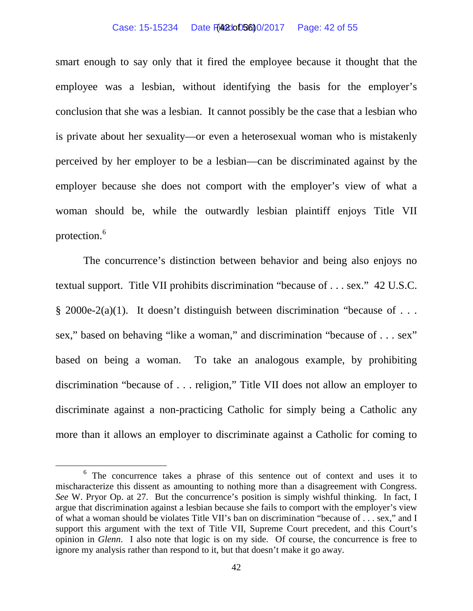#### Case: 15-15234 Date File200D5600/2017 Page: 42 of 55

smart enough to say only that it fired the employee because it thought that the employee was a lesbian, without identifying the basis for the employer's conclusion that she was a lesbian. It cannot possibly be the case that a lesbian who is private about her sexuality—or even a heterosexual woman who is mistakenly perceived by her employer to be a lesbian—can be discriminated against by the employer because she does not comport with the employer's view of what a woman should be, while the outwardly lesbian plaintiff enjoys Title VII protection.[6](#page-41-0)

The concurrence's distinction between behavior and being also enjoys no textual support. Title VII prohibits discrimination "because of . . . sex." 42 U.S.C.  $§$  2000e-2(a)(1). It doesn't distinguish between discrimination "because of ... sex," based on behaving "like a woman," and discrimination "because of . . . sex" based on being a woman. To take an analogous example, by prohibiting discrimination "because of . . . religion," Title VII does not allow an employer to discriminate against a non-practicing Catholic for simply being a Catholic any more than it allows an employer to discriminate against a Catholic for coming to

<span id="page-41-0"></span><sup>&</sup>lt;sup>6</sup> The concurrence takes a phrase of this sentence out of context and uses it to mischaracterize this dissent as amounting to nothing more than a disagreement with Congress. *See* W. Pryor Op. at 27. But the concurrence's position is simply wishful thinking. In fact, I argue that discrimination against a lesbian because she fails to comport with the employer's view of what a woman should be violates Title VII's ban on discrimination "because of . . . sex," and I support this argument with the text of Title VII, Supreme Court precedent, and this Court's opinion in *Glenn*. I also note that logic is on my side. Of course, the concurrence is free to ignore my analysis rather than respond to it, but that doesn't make it go away.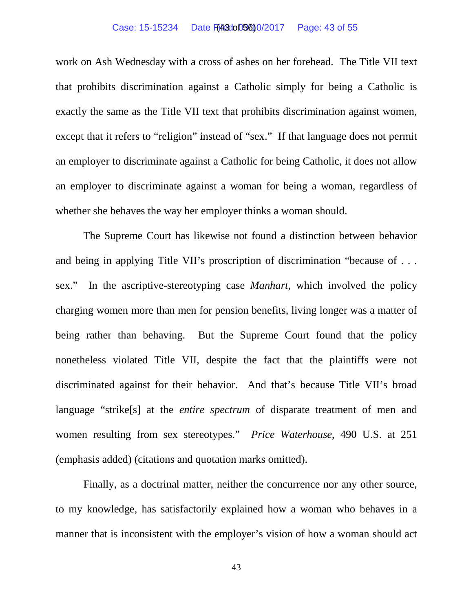#### Case: 15-15234 Date F(43:0005600/2017 Page: 43 of 55

work on Ash Wednesday with a cross of ashes on her forehead. The Title VII text that prohibits discrimination against a Catholic simply for being a Catholic is exactly the same as the Title VII text that prohibits discrimination against women, except that it refers to "religion" instead of "sex." If that language does not permit an employer to discriminate against a Catholic for being Catholic, it does not allow an employer to discriminate against a woman for being a woman, regardless of whether she behaves the way her employer thinks a woman should.

The Supreme Court has likewise not found a distinction between behavior and being in applying Title VII's proscription of discrimination "because of . . . sex." In the ascriptive-stereotyping case *Manhart*, which involved the policy charging women more than men for pension benefits, living longer was a matter of being rather than behaving. But the Supreme Court found that the policy nonetheless violated Title VII, despite the fact that the plaintiffs were not discriminated against for their behavior. And that's because Title VII's broad language "strike[s] at the *entire spectrum* of disparate treatment of men and women resulting from sex stereotypes." *Price Waterhouse*, 490 U.S. at 251 (emphasis added) (citations and quotation marks omitted).

Finally, as a doctrinal matter, neither the concurrence nor any other source, to my knowledge, has satisfactorily explained how a woman who behaves in a manner that is inconsistent with the employer's vision of how a woman should act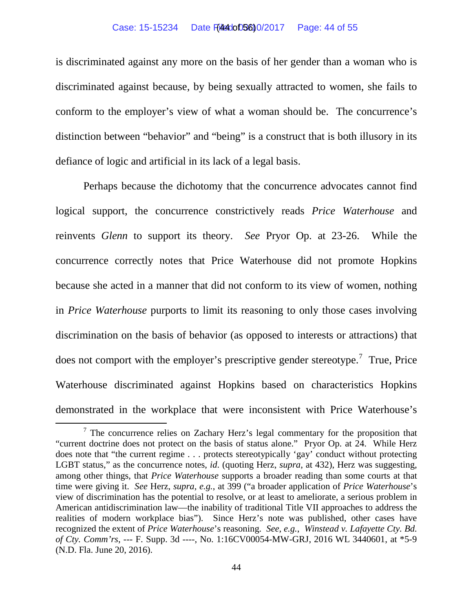#### Case: 15-15234 Date Filed: 05600/2017 Page: 44 of 55

is discriminated against any more on the basis of her gender than a woman who is discriminated against because, by being sexually attracted to women, she fails to conform to the employer's view of what a woman should be. The concurrence's distinction between "behavior" and "being" is a construct that is both illusory in its defiance of logic and artificial in its lack of a legal basis.

Perhaps because the dichotomy that the concurrence advocates cannot find logical support, the concurrence constrictively reads *Price Waterhouse* and reinvents *Glenn* to support its theory. *See* Pryor Op. at 23-26. While the concurrence correctly notes that Price Waterhouse did not promote Hopkins because she acted in a manner that did not conform to its view of women, nothing in *Price Waterhouse* purports to limit its reasoning to only those cases involving discrimination on the basis of behavior (as opposed to interests or attractions) that does not comport with the employer's prescriptive gender stereotype.<sup>[7](#page-43-0)</sup> True, Price Waterhouse discriminated against Hopkins based on characteristics Hopkins demonstrated in the workplace that were inconsistent with Price Waterhouse's

<span id="page-43-0"></span> $<sup>7</sup>$  The concurrence relies on Zachary Herz's legal commentary for the proposition that</sup> "current doctrine does not protect on the basis of status alone." Pryor Op. at 24. While Herz does note that "the current regime . . . protects stereotypically 'gay' conduct without protecting LGBT status," as the concurrence notes, *id*. (quoting Herz, *supra*, at 432), Herz was suggesting, among other things, that *Price Waterhouse* supports a broader reading than some courts at that time were giving it. *See* Herz, *supra*, *e.g.*, at 399 ("a broader application of *Price Waterhouse*'s view of discrimination has the potential to resolve, or at least to ameliorate, a serious problem in American antidiscrimination law—the inability of traditional Title VII approaches to address the realities of modern workplace bias"). Since Herz's note was published, other cases have recognized the extent of *Price Waterhouse*'s reasoning. *See*, *e.g.*, *Winstead v. Lafayette Cty. Bd. of Cty. Comm'rs*, --- F. Supp. 3d ----, No. 1:16CV00054-MW-GRJ, 2016 WL 3440601, at \*5-9 (N.D. Fla. June 20, 2016).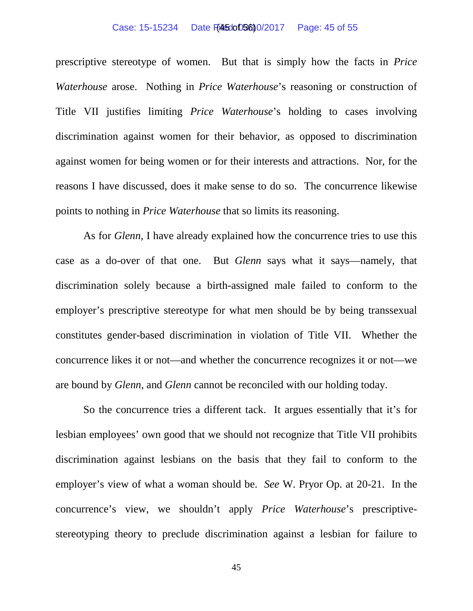#### Case: 15-15234 Date Files: 05800/2017 Page: 45 of 55

prescriptive stereotype of women. But that is simply how the facts in *Price Waterhouse* arose. Nothing in *Price Waterhouse*'s reasoning or construction of Title VII justifies limiting *Price Waterhouse*'s holding to cases involving discrimination against women for their behavior, as opposed to discrimination against women for being women or for their interests and attractions. Nor, for the reasons I have discussed, does it make sense to do so. The concurrence likewise points to nothing in *Price Waterhouse* that so limits its reasoning.

As for *Glenn*, I have already explained how the concurrence tries to use this case as a do-over of that one. But *Glenn* says what it says—namely, that discrimination solely because a birth-assigned male failed to conform to the employer's prescriptive stereotype for what men should be by being transsexual constitutes gender-based discrimination in violation of Title VII. Whether the concurrence likes it or not—and whether the concurrence recognizes it or not—we are bound by *Glenn*, and *Glenn* cannot be reconciled with our holding today.

So the concurrence tries a different tack. It argues essentially that it's for lesbian employees' own good that we should not recognize that Title VII prohibits discrimination against lesbians on the basis that they fail to conform to the employer's view of what a woman should be. *See* W. Pryor Op. at 20-21. In the concurrence's view, we shouldn't apply *Price Waterhouse*'s prescriptivestereotyping theory to preclude discrimination against a lesbian for failure to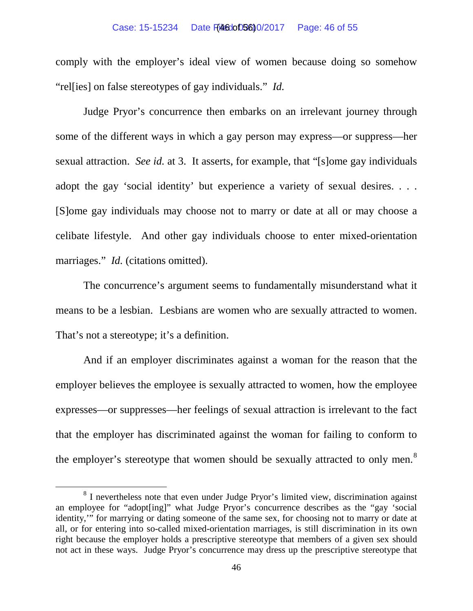#### Case: 15-15234 Date Filed: 05600/2017 Page: 46 of 55

comply with the employer's ideal view of women because doing so somehow "rel[ies] on false stereotypes of gay individuals." *Id.*

Judge Pryor's concurrence then embarks on an irrelevant journey through some of the different ways in which a gay person may express—or suppress—her sexual attraction. *See id.* at 3. It asserts, for example, that "[s]ome gay individuals adopt the gay 'social identity' but experience a variety of sexual desires. . . . [S]ome gay individuals may choose not to marry or date at all or may choose a celibate lifestyle. And other gay individuals choose to enter mixed-orientation marriages." *Id.* (citations omitted).

The concurrence's argument seems to fundamentally misunderstand what it means to be a lesbian. Lesbians are women who are sexually attracted to women. That's not a stereotype; it's a definition.

And if an employer discriminates against a woman for the reason that the employer believes the employee is sexually attracted to women, how the employee expresses—or suppresses—her feelings of sexual attraction is irrelevant to the fact that the employer has discriminated against the woman for failing to conform to the employer's stereotype that women should be sexually attracted to only men.<sup>[8](#page-45-0)</sup>

<span id="page-45-0"></span><sup>&</sup>lt;sup>8</sup> I nevertheless note that even under Judge Pryor's limited view, discrimination against an employee for "adopt[ing]" what Judge Pryor's concurrence describes as the "gay 'social identity,'" for marrying or dating someone of the same sex, for choosing not to marry or date at all, or for entering into so-called mixed-orientation marriages, is still discrimination in its own right because the employer holds a prescriptive stereotype that members of a given sex should not act in these ways. Judge Pryor's concurrence may dress up the prescriptive stereotype that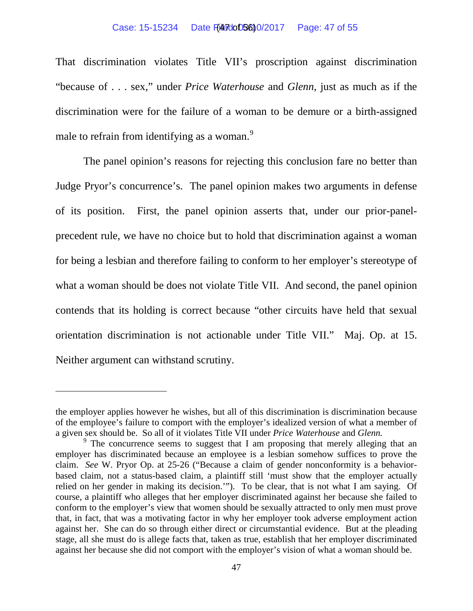#### Case: 15-15234 Date File dot 03600/2017 Page: 47 of 55

That discrimination violates Title VII's proscription against discrimination "because of . . . sex," under *Price Waterhouse* and *Glenn*, just as much as if the discrimination were for the failure of a woman to be demure or a birth-assigned male to refrain from identifying as a woman.<sup>[9](#page-46-0)</sup>

The panel opinion's reasons for rejecting this conclusion fare no better than Judge Pryor's concurrence's. The panel opinion makes two arguments in defense of its position. First, the panel opinion asserts that, under our prior-panelprecedent rule, we have no choice but to hold that discrimination against a woman for being a lesbian and therefore failing to conform to her employer's stereotype of what a woman should be does not violate Title VII. And second, the panel opinion contends that its holding is correct because "other circuits have held that sexual orientation discrimination is not actionable under Title VII." Maj. Op. at 15. Neither argument can withstand scrutiny.

 $\overline{a}$ 

the employer applies however he wishes, but all of this discrimination is discrimination because of the employee's failure to comport with the employer's idealized version of what a member of a given sex should be. So all of it violates Title VII under *Price Waterhouse* and *Glenn*.<br><sup>9</sup> The concurrence seems to suggest that I am proposing that merely alleging that an

<span id="page-46-0"></span>employer has discriminated because an employee is a lesbian somehow suffices to prove the claim. *See* W. Pryor Op. at 25-26 ("Because a claim of gender nonconformity is a behaviorbased claim, not a status-based claim, a plaintiff still 'must show that the employer actually relied on her gender in making its decision.'"). To be clear, that is not what I am saying. Of course, a plaintiff who alleges that her employer discriminated against her because she failed to conform to the employer's view that women should be sexually attracted to only men must prove that, in fact, that was a motivating factor in why her employer took adverse employment action against her. She can do so through either direct or circumstantial evidence. But at the pleading stage, all she must do is allege facts that, taken as true, establish that her employer discriminated against her because she did not comport with the employer's vision of what a woman should be.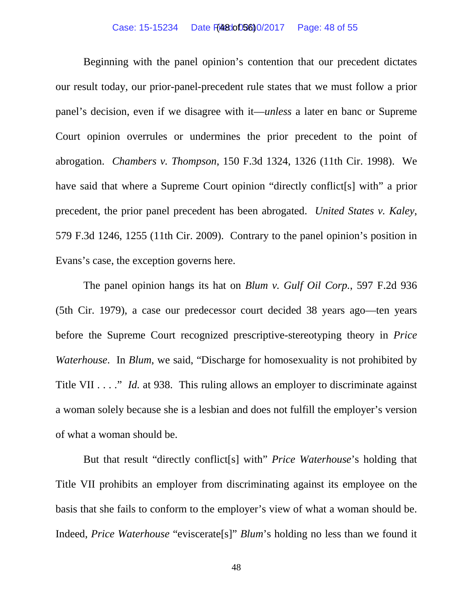Beginning with the panel opinion's contention that our precedent dictates our result today, our prior-panel-precedent rule states that we must follow a prior panel's decision, even if we disagree with it—*unless* a later en banc or Supreme Court opinion overrules or undermines the prior precedent to the point of abrogation. *Chambers v. Thompson*, 150 F.3d 1324, 1326 (11th Cir. 1998). We have said that where a Supreme Court opinion "directly conflict [s] with" a prior precedent, the prior panel precedent has been abrogated. *United States v. Kaley*, 579 F.3d 1246, 1255 (11th Cir. 2009). Contrary to the panel opinion's position in Evans's case, the exception governs here.

The panel opinion hangs its hat on *Blum v. Gulf Oil Corp.*, 597 F.2d 936 (5th Cir. 1979), a case our predecessor court decided 38 years ago—ten years before the Supreme Court recognized prescriptive-stereotyping theory in *Price Waterhouse*. In *Blum*, we said, "Discharge for homosexuality is not prohibited by Title VII . . . . " *Id.* at 938. This ruling allows an employer to discriminate against a woman solely because she is a lesbian and does not fulfill the employer's version of what a woman should be.

But that result "directly conflict[s] with" *Price Waterhouse*'s holding that Title VII prohibits an employer from discriminating against its employee on the basis that she fails to conform to the employer's view of what a woman should be. Indeed, *Price Waterhouse* "eviscerate[s]" *Blum*'s holding no less than we found it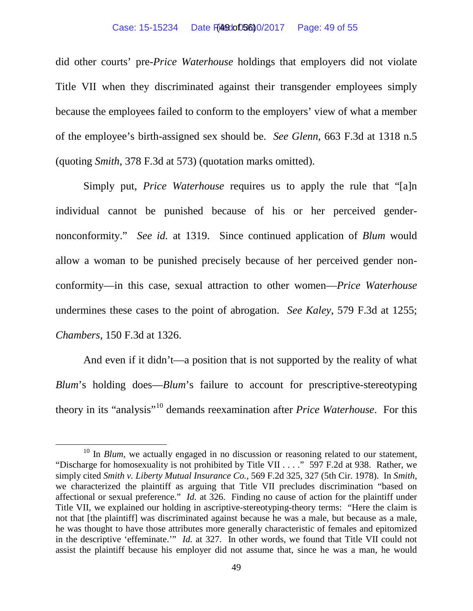did other courts' pre-*Price Waterhouse* holdings that employers did not violate Title VII when they discriminated against their transgender employees simply because the employees failed to conform to the employers' view of what a member of the employee's birth-assigned sex should be. *See Glenn*, 663 F.3d at 1318 n.5 (quoting *Smith*, 378 F.3d at 573) (quotation marks omitted).

Simply put, *Price Waterhouse* requires us to apply the rule that "[a]n individual cannot be punished because of his or her perceived gendernonconformity." *See id.* at 1319. Since continued application of *Blum* would allow a woman to be punished precisely because of her perceived gender nonconformity—in this case, sexual attraction to other women—*Price Waterhouse* undermines these cases to the point of abrogation. *See Kaley*, 579 F.3d at 1255; *Chambers*, 150 F.3d at 1326.

And even if it didn't—a position that is not supported by the reality of what *Blum*'s holding does—*Blum*'s failure to account for prescriptive-stereotyping theory in its "analysis"[10](#page-48-0) demands reexamination after *Price Waterhouse*. For this

<span id="page-48-0"></span><sup>&</sup>lt;sup>10</sup> In *Blum*, we actually engaged in no discussion or reasoning related to our statement, "Discharge for homosexuality is not prohibited by Title VII . . . ." 597 F.2d at 938. Rather, we simply cited *Smith v. Liberty Mutual Insurance Co.*, 569 F.2d 325, 327 (5th Cir. 1978). In *Smith*, we characterized the plaintiff as arguing that Title VII precludes discrimination "based on affectional or sexual preference." *Id.* at 326. Finding no cause of action for the plaintiff under Title VII, we explained our holding in ascriptive-stereotyping-theory terms: "Here the claim is not that [the plaintiff] was discriminated against because he was a male, but because as a male, he was thought to have those attributes more generally characteristic of females and epitomized in the descriptive 'effeminate.'" *Id.* at 327. In other words, we found that Title VII could not assist the plaintiff because his employer did not assume that, since he was a man, he would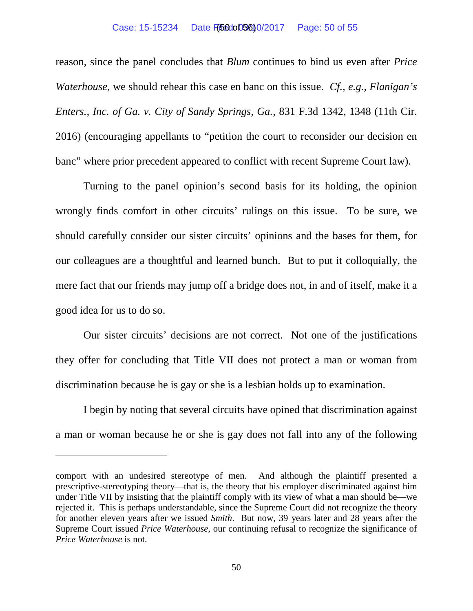#### Case: 15-15234 Date Filed: 05600/2017 Page: 50 of 55

reason, since the panel concludes that *Blum* continues to bind us even after *Price Waterhouse*, we should rehear this case en banc on this issue. *Cf., e.g.*, *Flanigan's Enters., Inc. of Ga. v. City of Sandy Springs, Ga.*, 831 F.3d 1342, 1348 (11th Cir. 2016) (encouraging appellants to "petition the court to reconsider our decision en banc" where prior precedent appeared to conflict with recent Supreme Court law).

Turning to the panel opinion's second basis for its holding, the opinion wrongly finds comfort in other circuits' rulings on this issue. To be sure, we should carefully consider our sister circuits' opinions and the bases for them, for our colleagues are a thoughtful and learned bunch. But to put it colloquially, the mere fact that our friends may jump off a bridge does not, in and of itself, make it a good idea for us to do so.

Our sister circuits' decisions are not correct. Not one of the justifications they offer for concluding that Title VII does not protect a man or woman from discrimination because he is gay or she is a lesbian holds up to examination.

I begin by noting that several circuits have opined that discrimination against a man or woman because he or she is gay does not fall into any of the following

 $\overline{a}$ 

comport with an undesired stereotype of men. And although the plaintiff presented a prescriptive-stereotyping theory—that is, the theory that his employer discriminated against him under Title VII by insisting that the plaintiff comply with its view of what a man should be—we rejected it. This is perhaps understandable, since the Supreme Court did not recognize the theory for another eleven years after we issued *Smith*. But now, 39 years later and 28 years after the Supreme Court issued *Price Waterhouse*, our continuing refusal to recognize the significance of *Price Waterhouse* is not.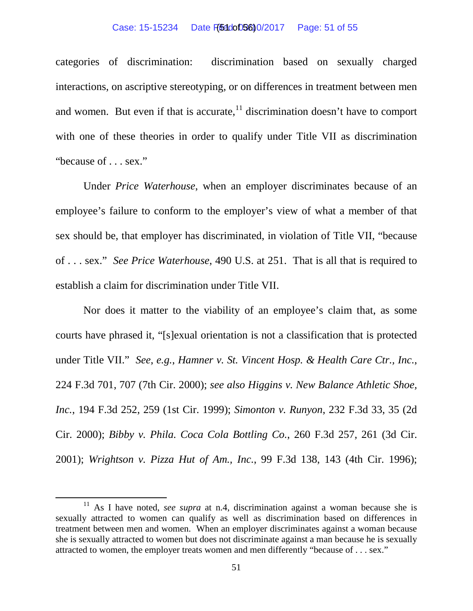#### Case: 15-15234 Date Filed: 05600/2017 Page: 51 of 55

categories of discrimination: discrimination based on sexually charged interactions, on ascriptive stereotyping, or on differences in treatment between men and women. But even if that is accurate,  $\frac{11}{11}$  $\frac{11}{11}$  $\frac{11}{11}$  discrimination doesn't have to comport with one of these theories in order to qualify under Title VII as discrimination "because of . . . sex."

Under *Price Waterhouse*, when an employer discriminates because of an employee's failure to conform to the employer's view of what a member of that sex should be, that employer has discriminated, in violation of Title VII, "because of . . . sex." *See Price Waterhouse*, 490 U.S. at 251. That is all that is required to establish a claim for discrimination under Title VII.

Nor does it matter to the viability of an employee's claim that, as some courts have phrased it, "[s]exual orientation is not a classification that is protected under Title VII." *See*, *e.g.*, *Hamner v. St. Vincent Hosp. & Health Care Ctr., Inc.*, 224 F.3d 701, 707 (7th Cir. 2000); *see also Higgins v. New Balance Athletic Shoe, Inc.*, 194 F.3d 252, 259 (1st Cir. 1999); *Simonton v. Runyon*, 232 F.3d 33, 35 (2d Cir. 2000); *Bibby v. Phila. Coca Cola Bottling Co.*, 260 F.3d 257, 261 (3d Cir. 2001); *Wrightson v. Pizza Hut of Am., Inc.*, 99 F.3d 138, 143 (4th Cir. 1996);

<span id="page-50-0"></span><sup>&</sup>lt;sup>11</sup> As I have noted, *see supra* at n.4, discrimination against a woman because she is sexually attracted to women can qualify as well as discrimination based on differences in treatment between men and women. When an employer discriminates against a woman because she is sexually attracted to women but does not discriminate against a man because he is sexually attracted to women, the employer treats women and men differently "because of . . . sex."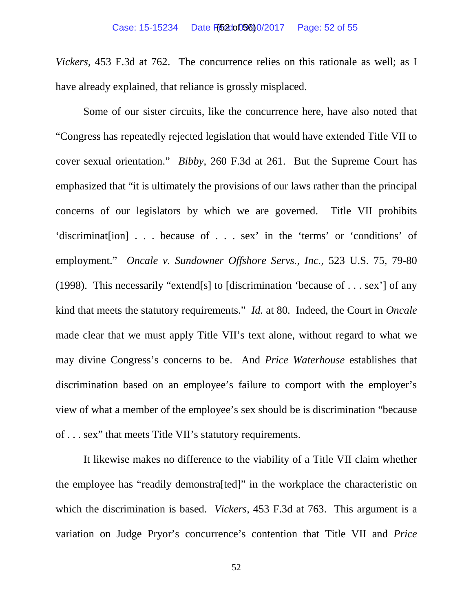*Vickers*, 453 F.3d at 762. The concurrence relies on this rationale as well; as I have already explained, that reliance is grossly misplaced.

Some of our sister circuits, like the concurrence here, have also noted that "Congress has repeatedly rejected legislation that would have extended Title VII to cover sexual orientation." *Bibby*, 260 F.3d at 261. But the Supreme Court has emphasized that "it is ultimately the provisions of our laws rather than the principal concerns of our legislators by which we are governed. Title VII prohibits 'discriminat[ion] . . . because of . . . sex' in the 'terms' or 'conditions' of employment." *Oncale v. Sundowner Offshore Servs., Inc.*, 523 U.S. 75, 79-80 (1998). This necessarily "extend[s] to [discrimination 'because of . . . sex'] of any kind that meets the statutory requirements." *Id.* at 80. Indeed, the Court in *Oncale* made clear that we must apply Title VII's text alone, without regard to what we may divine Congress's concerns to be. And *Price Waterhouse* establishes that discrimination based on an employee's failure to comport with the employer's view of what a member of the employee's sex should be is discrimination "because of . . . sex" that meets Title VII's statutory requirements.

It likewise makes no difference to the viability of a Title VII claim whether the employee has "readily demonstra[ted]" in the workplace the characteristic on which the discrimination is based. *Vickers*, 453 F.3d at 763. This argument is a variation on Judge Pryor's concurrence's contention that Title VII and *Price*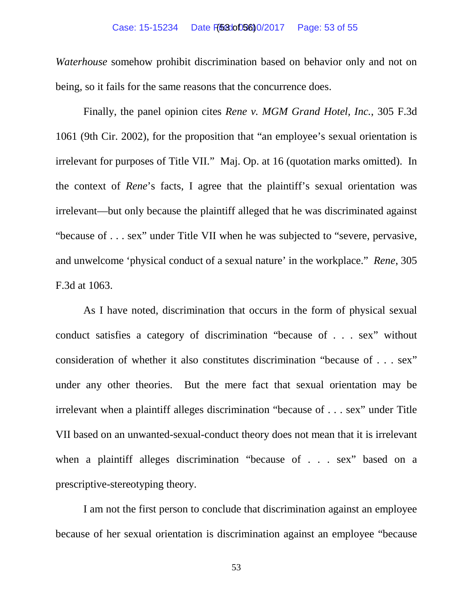## Case: 15-15234 Date F(53:00056)0/2017 Page: 53 of 55

*Waterhouse* somehow prohibit discrimination based on behavior only and not on being, so it fails for the same reasons that the concurrence does.

Finally, the panel opinion cites *Rene v. MGM Grand Hotel, Inc.*, 305 F.3d 1061 (9th Cir. 2002), for the proposition that "an employee's sexual orientation is irrelevant for purposes of Title VII." Maj. Op. at 16 (quotation marks omitted). In the context of *Rene*'s facts, I agree that the plaintiff's sexual orientation was irrelevant—but only because the plaintiff alleged that he was discriminated against "because of . . . sex" under Title VII when he was subjected to "severe, pervasive, and unwelcome 'physical conduct of a sexual nature' in the workplace." *Rene*, 305 F.3d at 1063.

As I have noted, discrimination that occurs in the form of physical sexual conduct satisfies a category of discrimination "because of . . . sex" without consideration of whether it also constitutes discrimination "because of . . . sex" under any other theories. But the mere fact that sexual orientation may be irrelevant when a plaintiff alleges discrimination "because of . . . sex" under Title VII based on an unwanted-sexual-conduct theory does not mean that it is irrelevant when a plaintiff alleges discrimination "because of . . . sex" based on a prescriptive-stereotyping theory.

I am not the first person to conclude that discrimination against an employee because of her sexual orientation is discrimination against an employee "because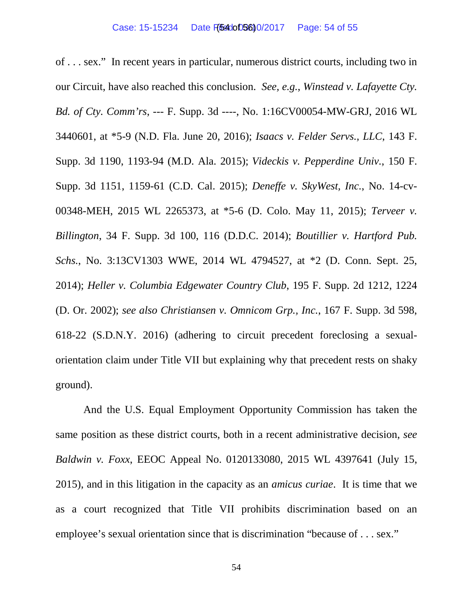of . . . sex." In recent years in particular, numerous district courts, including two in our Circuit, have also reached this conclusion. *See, e.g.*, *Winstead v. Lafayette Cty. Bd. of Cty. Comm'rs*, --- F. Supp. 3d ----, No. 1:16CV00054-MW-GRJ, 2016 WL 3440601, at \*5-9 (N.D. Fla. June 20, 2016); *Isaacs v. Felder Servs., LLC*, 143 F. Supp. 3d 1190, 1193-94 (M.D. Ala. 2015); *Videckis v. Pepperdine Univ.*, 150 F. Supp. 3d 1151, 1159-61 (C.D. Cal. 2015); *Deneffe v. SkyWest, Inc.*, No. 14-cv-00348-MEH, 2015 WL 2265373, at \*5-6 (D. Colo. May 11, 2015); *Terveer v. Billington*, 34 F. Supp. 3d 100, 116 (D.D.C. 2014); *Boutillier v. Hartford Pub. Schs.*, No. 3:13CV1303 WWE, 2014 WL 4794527, at \*2 (D. Conn. Sept. 25, 2014); *Heller v. Columbia Edgewater Country Club*, 195 F. Supp. 2d 1212, 1224 (D. Or. 2002); *see also Christiansen v. Omnicom Grp., Inc.*, 167 F. Supp. 3d 598, 618-22 (S.D.N.Y. 2016) (adhering to circuit precedent foreclosing a sexualorientation claim under Title VII but explaining why that precedent rests on shaky ground).

And the U.S. Equal Employment Opportunity Commission has taken the same position as these district courts, both in a recent administrative decision, *see Baldwin v. Foxx*, EEOC Appeal No. 0120133080, 2015 WL 4397641 (July 15, 2015), and in this litigation in the capacity as an *amicus curiae*. It is time that we as a court recognized that Title VII prohibits discrimination based on an employee's sexual orientation since that is discrimination "because of . . . sex."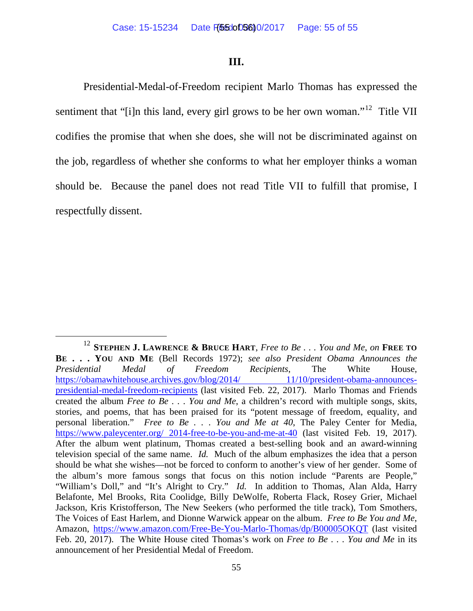## **III.**

Presidential-Medal-of-Freedom recipient Marlo Thomas has expressed the sentiment that "[i]n this land, every girl grows to be her own woman."<sup>12</sup> Title VII codifies the promise that when she does, she will not be discriminated against on the job, regardless of whether she conforms to what her employer thinks a woman should be. Because the panel does not read Title VII to fulfill that promise, I respectfully dissent.

<span id="page-54-0"></span> <sup>12</sup> **STEPHEN J. LAWRENCE & BRUCE HART**, *Free to Be . . . You and Me*, *on* **FREE TO BE . . . YOU AND ME** (Bell Records 1972); *see also President Obama Announces the Presidential Medal of Freedom Recipients*, The White House, [https://obamawhitehouse.archives.gov/blog/2014/ 11/10/president-obama-announces](https://obamawhitehouse.archives.gov/blog/2014/%2011/10/president-obama-announces-presidential-medal-freedom-recipients)[presidential-medal-freedom-recipients](https://obamawhitehouse.archives.gov/blog/2014/%2011/10/president-obama-announces-presidential-medal-freedom-recipients) (last visited Feb. 22, 2017). Marlo Thomas and Friends created the album *Free to Be . . . You and Me*, a children's record with multiple songs, skits, stories, and poems, that has been praised for its "potent message of freedom, equality, and personal liberation." *Free to Be . . . You and Me at 40*, The Paley Center for Media, [https://www.paleycenter.org/ 2014-free-to-be-you-and-me-at-40](https://www.paleycenter.org/%202014-free-to-be-you-and-me-at-40) (last visited Feb. 19, 2017). After the album went platinum, Thomas created a best-selling book and an award-winning television special of the same name. *Id.* Much of the album emphasizes the idea that a person should be what she wishes—not be forced to conform to another's view of her gender. Some of the album's more famous songs that focus on this notion include "Parents are People," "William's Doll," and "It's Alright to Cry." *Id.* In addition to Thomas, Alan Alda, Harry Belafonte, Mel Brooks, Rita Coolidge, Billy DeWolfe, Roberta Flack, Rosey Grier, Michael Jackson, Kris Kristofferson, The New Seekers (who performed the title track), Tom Smothers, The Voices of East Harlem, and Dionne Warwick appear on the album. *Free to Be You and Me*, Amazon, <https://www.amazon.com/Free-Be-You-Marlo-Thomas/dp/B00005OKQT> (last visited Feb. 20, 2017). The White House cited Thomas's work on *Free to Be . . . You and Me* in its announcement of her Presidential Medal of Freedom.